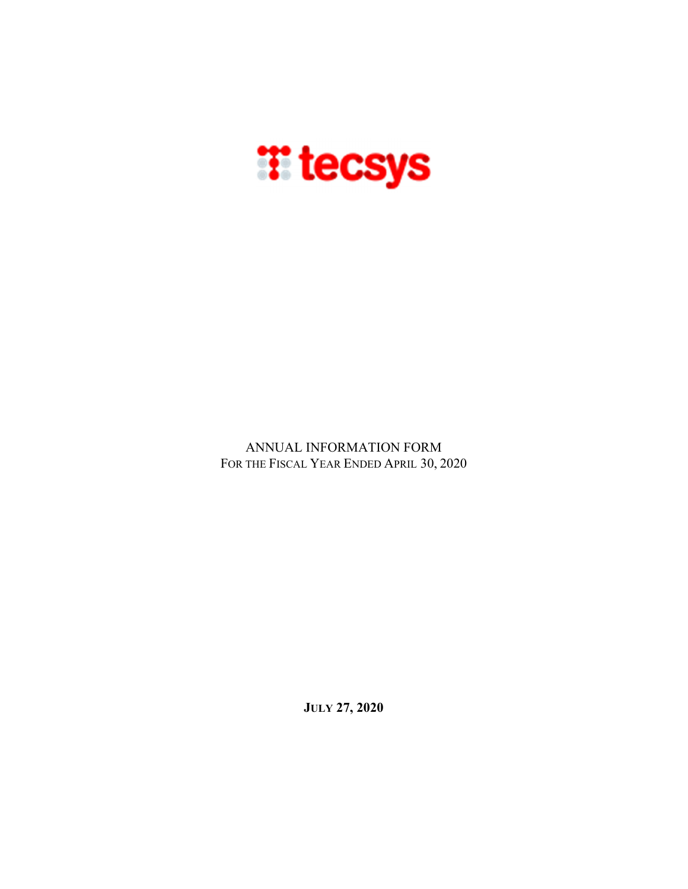

ANNUAL INFORMATION FORM FOR THE FISCAL YEAR ENDED APRIL 30, 2020

**JULY 27, 2020**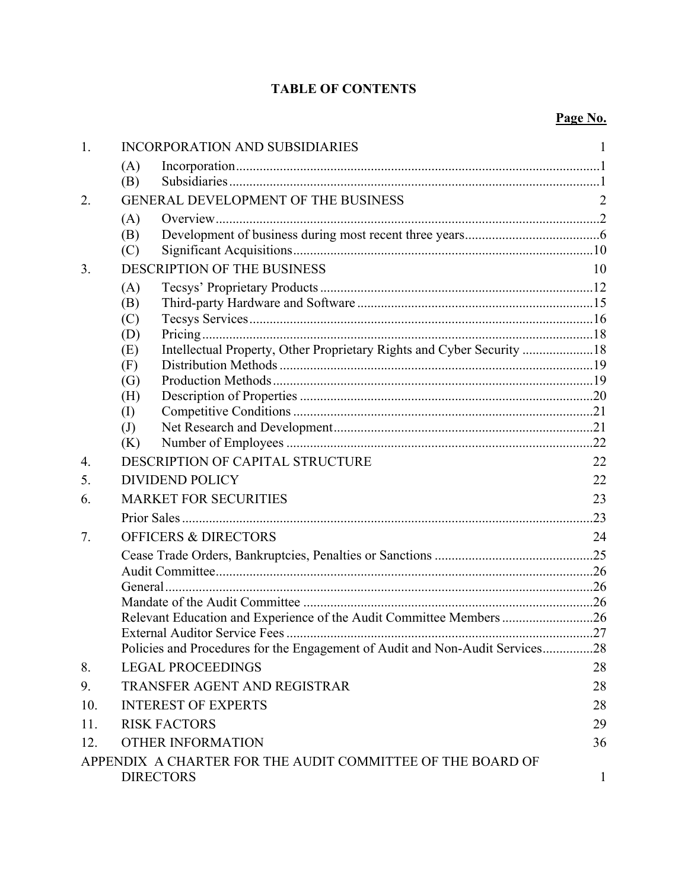# **TABLE OF CONTENTS**

| 1.  | INCORPORATION AND SUBSIDIARIES                                               |              |
|-----|------------------------------------------------------------------------------|--------------|
|     | (A)                                                                          |              |
|     | (B)                                                                          |              |
| 2.  | GENERAL DEVELOPMENT OF THE BUSINESS                                          | 2            |
|     | (A)                                                                          |              |
|     | (B)                                                                          |              |
|     | (C)                                                                          |              |
| 3.  | DESCRIPTION OF THE BUSINESS                                                  | 10           |
|     | (A)                                                                          |              |
|     | (B)                                                                          |              |
|     | (C)<br>(D)                                                                   |              |
|     | Intellectual Property, Other Proprietary Rights and Cyber Security 18<br>(E) |              |
|     | (F)                                                                          |              |
|     | (G)                                                                          |              |
|     | (H)                                                                          |              |
|     | $\rm (I)$                                                                    |              |
|     | $\left( \mathrm{J}\right)$                                                   |              |
|     | (K)                                                                          |              |
| 4.  | DESCRIPTION OF CAPITAL STRUCTURE                                             | 22           |
| 5.  | <b>DIVIDEND POLICY</b>                                                       | 22           |
| 6.  | <b>MARKET FOR SECURITIES</b>                                                 | 23           |
|     |                                                                              |              |
| 7.  | <b>OFFICERS &amp; DIRECTORS</b>                                              | 24           |
|     |                                                                              |              |
|     |                                                                              |              |
|     |                                                                              |              |
|     |                                                                              |              |
|     | Relevant Education and Experience of the Audit Committee Members 26          |              |
|     | Policies and Procedures for the Engagement of Audit and Non-Audit Services   | .28          |
| 8.  | <b>LEGAL PROCEEDINGS</b>                                                     | 28           |
| 9.  | <b>TRANSFER AGENT AND REGISTRAR</b>                                          | 28           |
| 10. | <b>INTEREST OF EXPERTS</b>                                                   | 28           |
| 11. | <b>RISK FACTORS</b>                                                          | 29           |
| 12. | <b>OTHER INFORMATION</b>                                                     | 36           |
|     | APPENDIX A CHARTER FOR THE AUDIT COMMITTEE OF THE BOARD OF                   |              |
|     | <b>DIRECTORS</b>                                                             | $\mathbf{1}$ |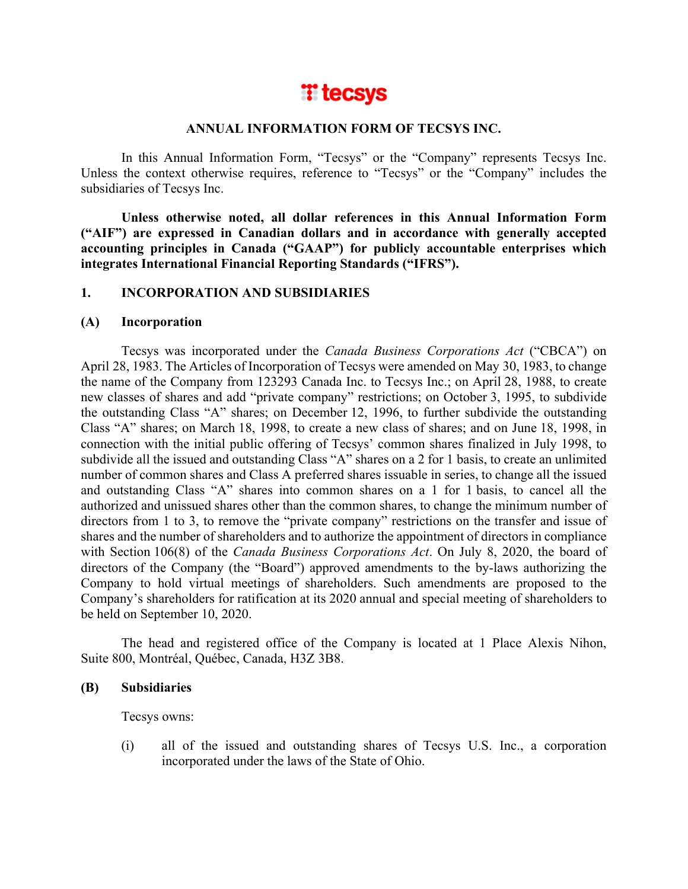

### **ANNUAL INFORMATION FORM OF TECSYS INC.**

In this Annual Information Form, "Tecsys" or the "Company" represents Tecsys Inc. Unless the context otherwise requires, reference to "Tecsys" or the "Company" includes the subsidiaries of Tecsys Inc.

**Unless otherwise noted, all dollar references in this Annual Information Form ("AIF") are expressed in Canadian dollars and in accordance with generally accepted accounting principles in Canada ("GAAP") for publicly accountable enterprises which integrates International Financial Reporting Standards ("IFRS").** 

## **1. INCORPORATION AND SUBSIDIARIES**

### **(A) Incorporation**

Tecsys was incorporated under the *Canada Business Corporations Act* ("CBCA") on April 28, 1983. The Articles of Incorporation of Tecsys were amended on May 30, 1983, to change the name of the Company from 123293 Canada Inc. to Tecsys Inc.; on April 28, 1988, to create new classes of shares and add "private company" restrictions; on October 3, 1995, to subdivide the outstanding Class "A" shares; on December 12, 1996, to further subdivide the outstanding Class "A" shares; on March 18, 1998, to create a new class of shares; and on June 18, 1998, in connection with the initial public offering of Tecsys' common shares finalized in July 1998, to subdivide all the issued and outstanding Class "A" shares on a 2 for 1 basis, to create an unlimited number of common shares and Class A preferred shares issuable in series, to change all the issued and outstanding Class "A" shares into common shares on a 1 for 1 basis, to cancel all the authorized and unissued shares other than the common shares, to change the minimum number of directors from 1 to 3, to remove the "private company" restrictions on the transfer and issue of shares and the number of shareholders and to authorize the appointment of directors in compliance with Section 106(8) of the *Canada Business Corporations Act*. On July 8, 2020, the board of directors of the Company (the "Board") approved amendments to the by-laws authorizing the Company to hold virtual meetings of shareholders. Such amendments are proposed to the Company's shareholders for ratification at its 2020 annual and special meeting of shareholders to be held on September 10, 2020.

The head and registered office of the Company is located at 1 Place Alexis Nihon, Suite 800, Montréal, Québec, Canada, H3Z 3B8.

## **(B) Subsidiaries**

Tecsys owns:

(i) all of the issued and outstanding shares of Tecsys U.S. Inc., a corporation incorporated under the laws of the State of Ohio.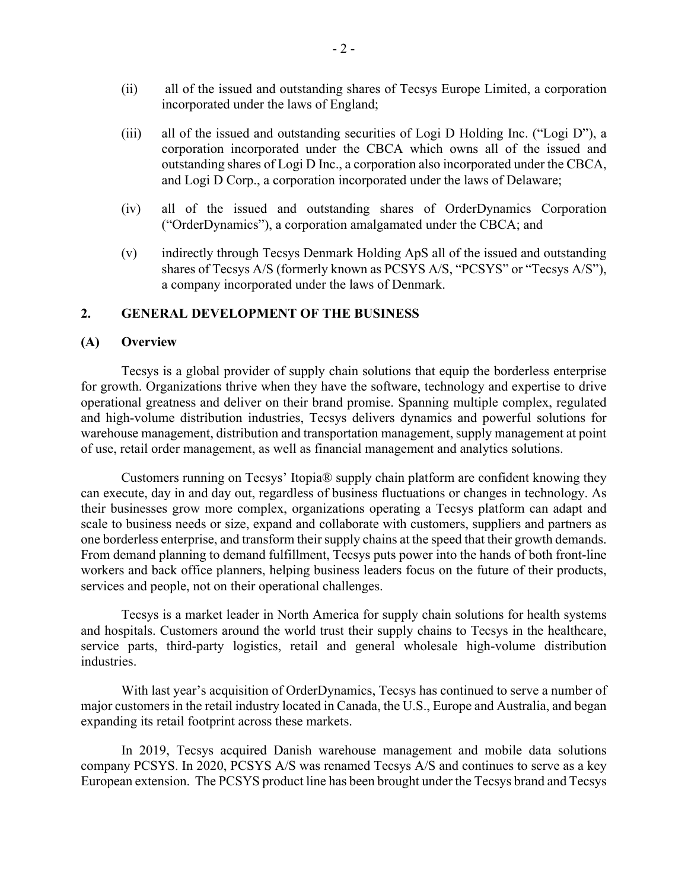- (ii) all of the issued and outstanding shares of Tecsys Europe Limited, a corporation incorporated under the laws of England;
- (iii) all of the issued and outstanding securities of Logi D Holding Inc. ("Logi D"), a corporation incorporated under the CBCA which owns all of the issued and outstanding shares of Logi D Inc., a corporation also incorporated under the CBCA, and Logi D Corp., a corporation incorporated under the laws of Delaware;
- (iv) all of the issued and outstanding shares of OrderDynamics Corporation ("OrderDynamics"), a corporation amalgamated under the CBCA; and
- (v) indirectly through Tecsys Denmark Holding ApS all of the issued and outstanding shares of Tecsys A/S (formerly known as PCSYS A/S, "PCSYS" or "Tecsys A/S"), a company incorporated under the laws of Denmark.

### **2. GENERAL DEVELOPMENT OF THE BUSINESS**

### **(A) Overview**

Tecsys is a global provider of supply chain solutions that equip the borderless enterprise for growth. Organizations thrive when they have the software, technology and expertise to drive operational greatness and deliver on their brand promise. Spanning multiple complex, regulated and high-volume distribution industries, Tecsys delivers dynamics and powerful solutions for warehouse management, distribution and transportation management, supply management at point of use, retail order management, as well as financial management and analytics solutions.

Customers running on Tecsys' Itopia® supply chain platform are confident knowing they can execute, day in and day out, regardless of business fluctuations or changes in technology. As their businesses grow more complex, organizations operating a Tecsys platform can adapt and scale to business needs or size, expand and collaborate with customers, suppliers and partners as one borderless enterprise, and transform their supply chains at the speed that their growth demands. From demand planning to demand fulfillment, Tecsys puts power into the hands of both front-line workers and back office planners, helping business leaders focus on the future of their products, services and people, not on their operational challenges.

Tecsys is a market leader in North America for supply chain solutions for health systems and hospitals. Customers around the world trust their supply chains to Tecsys in the healthcare, service parts, third-party logistics, retail and general wholesale high-volume distribution industries.

With last year's acquisition of OrderDynamics, Tecsys has continued to serve a number of major customers in the retail industry located in Canada, the U.S., Europe and Australia, and began expanding its retail footprint across these markets.

In 2019, Tecsys acquired Danish warehouse management and mobile data solutions company PCSYS. In 2020, PCSYS A/S was renamed Tecsys A/S and continues to serve as a key European extension. The PCSYS product line has been brought under the Tecsys brand and Tecsys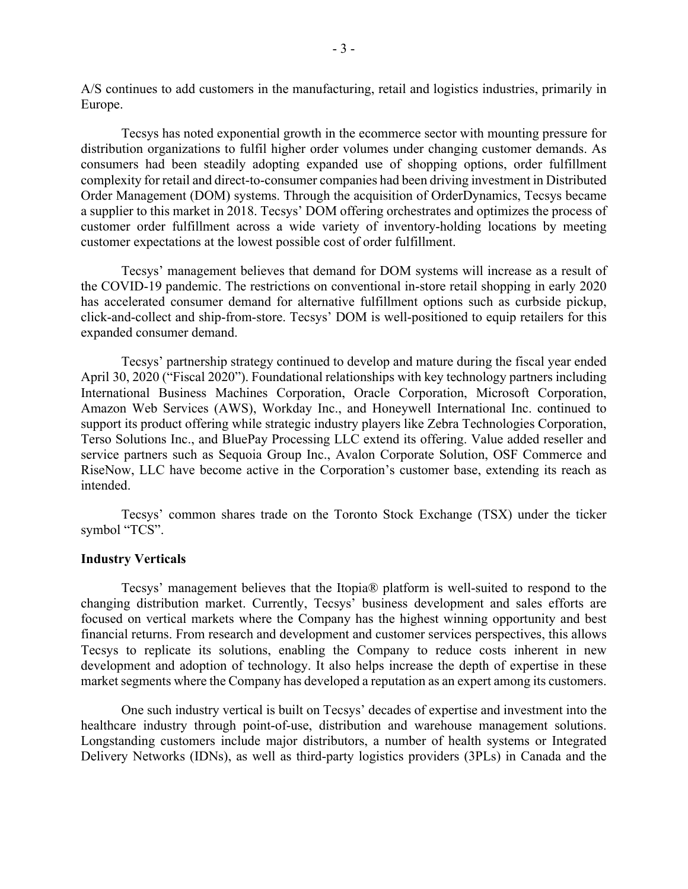A/S continues to add customers in the manufacturing, retail and logistics industries, primarily in Europe.

Tecsys has noted exponential growth in the ecommerce sector with mounting pressure for distribution organizations to fulfil higher order volumes under changing customer demands. As consumers had been steadily adopting expanded use of shopping options, order fulfillment complexity for retail and direct-to-consumer companies had been driving investment in Distributed Order Management (DOM) systems. Through the acquisition of OrderDynamics, Tecsys became a supplier to this market in 2018. Tecsys' DOM offering orchestrates and optimizes the process of customer order fulfillment across a wide variety of inventory-holding locations by meeting customer expectations at the lowest possible cost of order fulfillment.

Tecsys' management believes that demand for DOM systems will increase as a result of the COVID-19 pandemic. The restrictions on conventional in-store retail shopping in early 2020 has accelerated consumer demand for alternative fulfillment options such as curbside pickup, click-and-collect and ship-from-store. Tecsys' DOM is well-positioned to equip retailers for this expanded consumer demand.

Tecsys' partnership strategy continued to develop and mature during the fiscal year ended April 30, 2020 ("Fiscal 2020"). Foundational relationships with key technology partners including International Business Machines Corporation, Oracle Corporation, Microsoft Corporation, Amazon Web Services (AWS), Workday Inc., and Honeywell International Inc. continued to support its product offering while strategic industry players like Zebra Technologies Corporation, Terso Solutions Inc., and BluePay Processing LLC extend its offering. Value added reseller and service partners such as Sequoia Group Inc., Avalon Corporate Solution, OSF Commerce and RiseNow, LLC have become active in the Corporation's customer base, extending its reach as intended.

Tecsys' common shares trade on the Toronto Stock Exchange (TSX) under the ticker symbol "TCS".

### **Industry Verticals**

Tecsys' management believes that the Itopia® platform is well-suited to respond to the changing distribution market. Currently, Tecsys' business development and sales efforts are focused on vertical markets where the Company has the highest winning opportunity and best financial returns. From research and development and customer services perspectives, this allows Tecsys to replicate its solutions, enabling the Company to reduce costs inherent in new development and adoption of technology. It also helps increase the depth of expertise in these market segments where the Company has developed a reputation as an expert among its customers.

One such industry vertical is built on Tecsys' decades of expertise and investment into the healthcare industry through point-of-use, distribution and warehouse management solutions. Longstanding customers include major distributors, a number of health systems or Integrated Delivery Networks (IDNs), as well as third-party logistics providers (3PLs) in Canada and the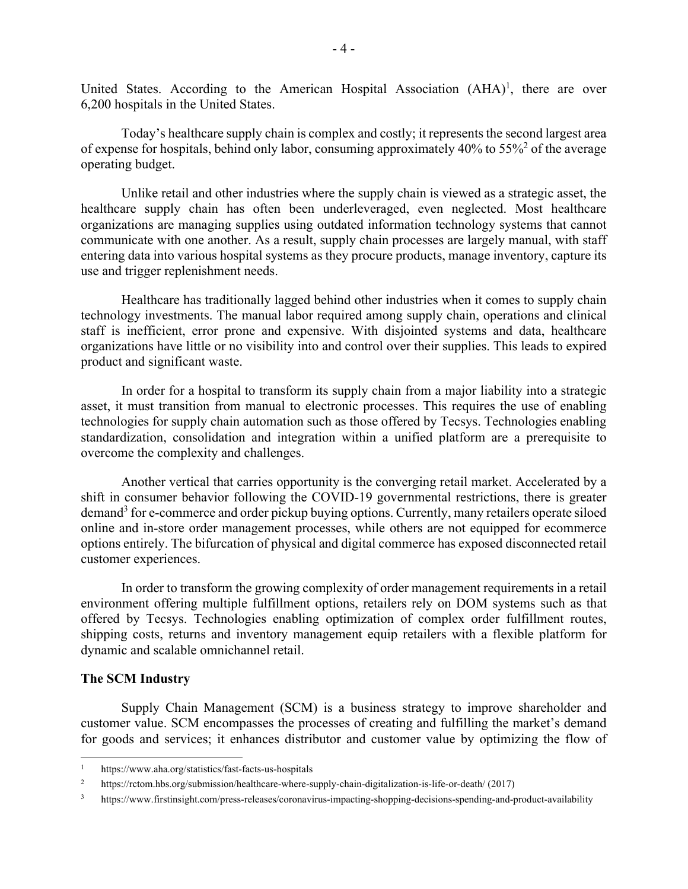United States. According to the American Hospital Association  $(AHA)^1$ , there are over 6,200 hospitals in the United States.

Today's healthcare supply chain is complex and costly; it represents the second largest area of expense for hospitals, behind only labor, consuming approximately  $40\%$  to  $55\%$ <sup>2</sup> of the average operating budget.

Unlike retail and other industries where the supply chain is viewed as a strategic asset, the healthcare supply chain has often been underleveraged, even neglected. Most healthcare organizations are managing supplies using outdated information technology systems that cannot communicate with one another. As a result, supply chain processes are largely manual, with staff entering data into various hospital systems as they procure products, manage inventory, capture its use and trigger replenishment needs.

Healthcare has traditionally lagged behind other industries when it comes to supply chain technology investments. The manual labor required among supply chain, operations and clinical staff is inefficient, error prone and expensive. With disjointed systems and data, healthcare organizations have little or no visibility into and control over their supplies. This leads to expired product and significant waste.

In order for a hospital to transform its supply chain from a major liability into a strategic asset, it must transition from manual to electronic processes. This requires the use of enabling technologies for supply chain automation such as those offered by Tecsys. Technologies enabling standardization, consolidation and integration within a unified platform are a prerequisite to overcome the complexity and challenges.

Another vertical that carries opportunity is the converging retail market. Accelerated by a shift in consumer behavior following the COVID-19 governmental restrictions, there is greater demand<sup>3</sup> for e-commerce and order pickup buying options. Currently, many retailers operate siloed online and in-store order management processes, while others are not equipped for ecommerce options entirely. The bifurcation of physical and digital commerce has exposed disconnected retail customer experiences.

In order to transform the growing complexity of order management requirements in a retail environment offering multiple fulfillment options, retailers rely on DOM systems such as that offered by Tecsys. Technologies enabling optimization of complex order fulfillment routes, shipping costs, returns and inventory management equip retailers with a flexible platform for dynamic and scalable omnichannel retail.

### **The SCM Industry**

Supply Chain Management (SCM) is a business strategy to improve shareholder and customer value. SCM encompasses the processes of creating and fulfilling the market's demand for goods and services; it enhances distributor and customer value by optimizing the flow of

https://www.aha.org/statistics/fast-facts-us-hospitals

<sup>&</sup>lt;sup>2</sup> https://rctom.hbs.org/submission/healthcare-where-supply-chain-digitalization-is-life-or-death/ (2017)

<sup>3</sup> https://www.firstinsight.com/press-releases/coronavirus-impacting-shopping-decisions-spending-and-product-availability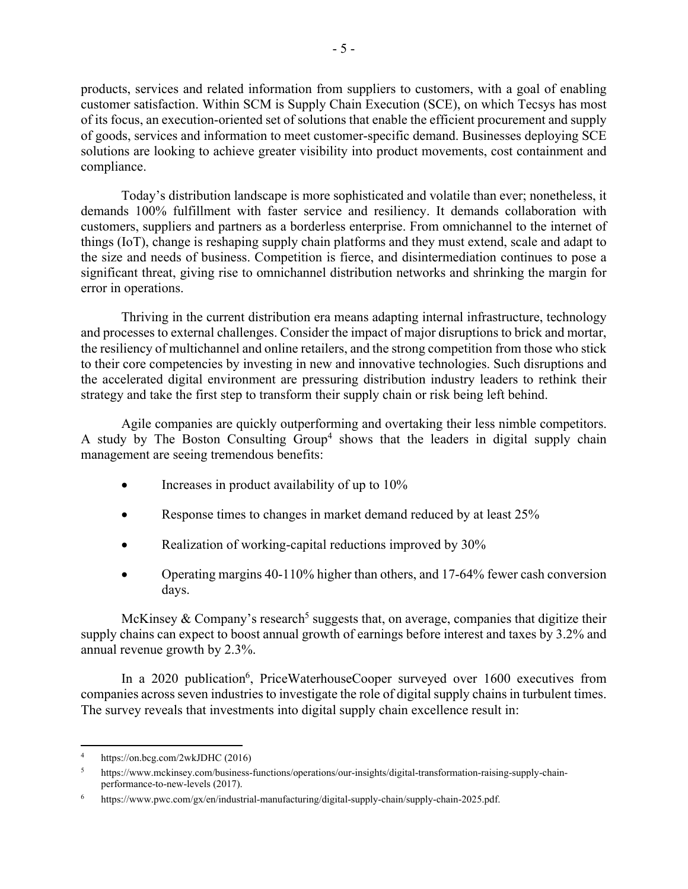products, services and related information from suppliers to customers, with a goal of enabling customer satisfaction. Within SCM is Supply Chain Execution (SCE), on which Tecsys has most of its focus, an execution-oriented set of solutions that enable the efficient procurement and supply of goods, services and information to meet customer-specific demand. Businesses deploying SCE solutions are looking to achieve greater visibility into product movements, cost containment and compliance.

Today's distribution landscape is more sophisticated and volatile than ever; nonetheless, it demands 100% fulfillment with faster service and resiliency. It demands collaboration with customers, suppliers and partners as a borderless enterprise. From omnichannel to the internet of things (IoT), change is reshaping supply chain platforms and they must extend, scale and adapt to the size and needs of business. Competition is fierce, and disintermediation continues to pose a significant threat, giving rise to omnichannel distribution networks and shrinking the margin for error in operations.

Thriving in the current distribution era means adapting internal infrastructure, technology and processes to external challenges. Consider the impact of major disruptions to brick and mortar, the resiliency of multichannel and online retailers, and the strong competition from those who stick to their core competencies by investing in new and innovative technologies. Such disruptions and the accelerated digital environment are pressuring distribution industry leaders to rethink their strategy and take the first step to transform their supply chain or risk being left behind.

Agile companies are quickly outperforming and overtaking their less nimble competitors. A study by The Boston Consulting Group<sup>4</sup> shows that the leaders in digital supply chain management are seeing tremendous benefits:

- Increases in product availability of up to 10%
- Response times to changes in market demand reduced by at least 25%
- Realization of working-capital reductions improved by 30%
- Operating margins 40-110% higher than others, and 17-64% fewer cash conversion days.

McKinsey & Company's research<sup>5</sup> suggests that, on average, companies that digitize their supply chains can expect to boost annual growth of earnings before interest and taxes by 3.2% and annual revenue growth by 2.3%.

In a 2020 publication<sup>6</sup>, PriceWaterhouseCooper surveyed over 1600 executives from companies across seven industries to investigate the role of digital supply chains in turbulent times. The survey reveals that investments into digital supply chain excellence result in:

<sup>4</sup> https://on.bcg.com/2wkJDHC (2016)

<sup>5</sup> https://www.mckinsey.com/business-functions/operations/our-insights/digital-transformation-raising-supply-chainperformance-to-new-levels (2017).

<sup>6</sup> https://www.pwc.com/gx/en/industrial-manufacturing/digital-supply-chain/supply-chain-2025.pdf.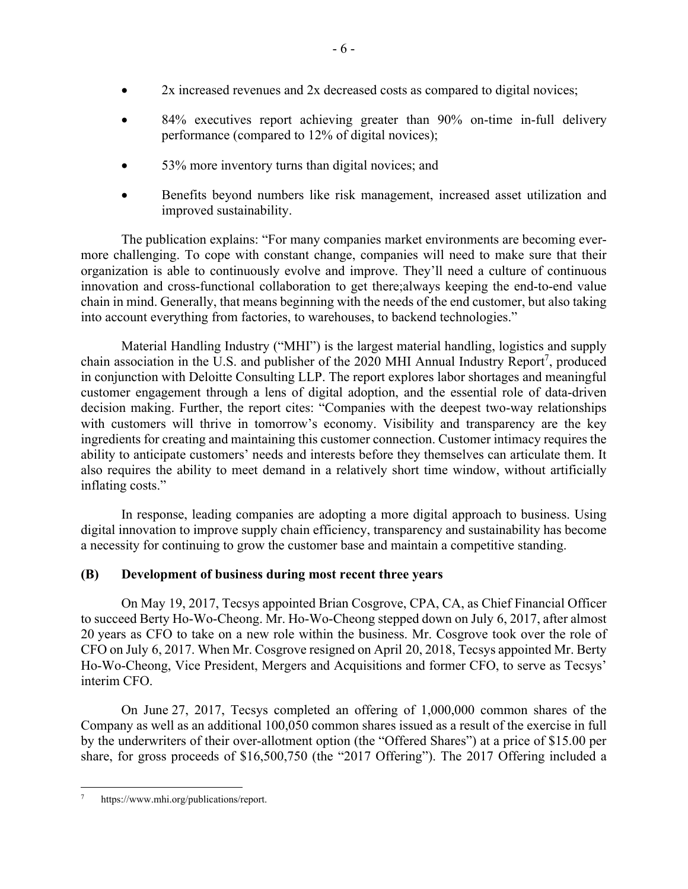- 2x increased revenues and 2x decreased costs as compared to digital novices;
- 84% executives report achieving greater than 90% on-time in-full delivery performance (compared to 12% of digital novices);
- 53% more inventory turns than digital novices; and
- Benefits beyond numbers like risk management, increased asset utilization and improved sustainability.

The publication explains: "For many companies market environments are becoming evermore challenging. To cope with constant change, companies will need to make sure that their organization is able to continuously evolve and improve. They'll need a culture of continuous innovation and cross-functional collaboration to get there;always keeping the end-to-end value chain in mind. Generally, that means beginning with the needs of the end customer, but also taking into account everything from factories, to warehouses, to backend technologies."

Material Handling Industry ("MHI") is the largest material handling, logistics and supply chain association in the U.S. and publisher of the 2020 MHI Annual Industry Report<sup>7</sup>, produced in conjunction with Deloitte Consulting LLP. The report explores labor shortages and meaningful customer engagement through a lens of digital adoption, and the essential role of data-driven decision making. Further, the report cites: "Companies with the deepest two-way relationships with customers will thrive in tomorrow's economy. Visibility and transparency are the key ingredients for creating and maintaining this customer connection. Customer intimacy requires the ability to anticipate customers' needs and interests before they themselves can articulate them. It also requires the ability to meet demand in a relatively short time window, without artificially inflating costs."

In response, leading companies are adopting a more digital approach to business. Using digital innovation to improve supply chain efficiency, transparency and sustainability has become a necessity for continuing to grow the customer base and maintain a competitive standing.

# **(B) Development of business during most recent three years**

On May 19, 2017, Tecsys appointed Brian Cosgrove, CPA, CA, as Chief Financial Officer to succeed Berty Ho-Wo-Cheong. Mr. Ho-Wo-Cheong stepped down on July 6, 2017, after almost 20 years as CFO to take on a new role within the business. Mr. Cosgrove took over the role of CFO on July 6, 2017. When Mr. Cosgrove resigned on April 20, 2018, Tecsys appointed Mr. Berty Ho-Wo-Cheong, Vice President, Mergers and Acquisitions and former CFO, to serve as Tecsys' interim CFO.

On June 27, 2017, Tecsys completed an offering of 1,000,000 common shares of the Company as well as an additional 100,050 common shares issued as a result of the exercise in full by the underwriters of their over-allotment option (the "Offered Shares") at a price of \$15.00 per share, for gross proceeds of \$16,500,750 (the "2017 Offering"). The 2017 Offering included a

https://www.mhi.org/publications/report.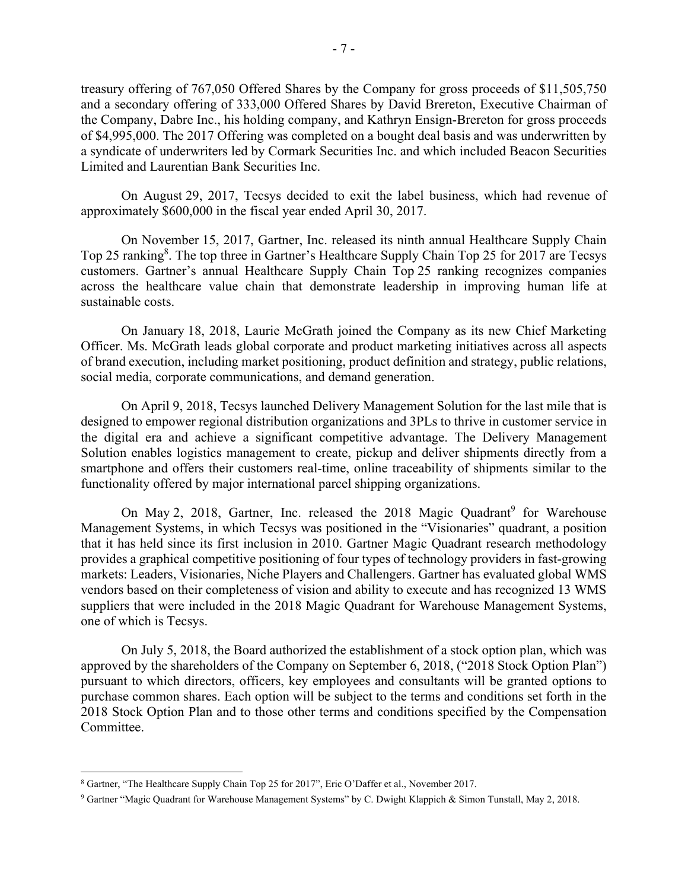treasury offering of 767,050 Offered Shares by the Company for gross proceeds of \$11,505,750 and a secondary offering of 333,000 Offered Shares by David Brereton, Executive Chairman of the Company, Dabre Inc., his holding company, and Kathryn Ensign-Brereton for gross proceeds of \$4,995,000. The 2017 Offering was completed on a bought deal basis and was underwritten by a syndicate of underwriters led by Cormark Securities Inc. and which included Beacon Securities Limited and Laurentian Bank Securities Inc.

On August 29, 2017, Tecsys decided to exit the label business, which had revenue of approximately \$600,000 in the fiscal year ended April 30, 2017.

On November 15, 2017, Gartner, Inc. released its ninth annual Healthcare Supply Chain Top 25 ranking<sup>8</sup>. The top three in Gartner's Healthcare Supply Chain Top 25 for 2017 are Tecsys customers. Gartner's annual Healthcare Supply Chain Top 25 ranking recognizes companies across the healthcare value chain that demonstrate leadership in improving human life at sustainable costs.

On January 18, 2018, Laurie McGrath joined the Company as its new Chief Marketing Officer. Ms. McGrath leads global corporate and product marketing initiatives across all aspects of brand execution, including market positioning, product definition and strategy, public relations, social media, corporate communications, and demand generation.

On April 9, 2018, Tecsys launched Delivery Management Solution for the last mile that is designed to empower regional distribution organizations and 3PLs to thrive in customer service in the digital era and achieve a significant competitive advantage. The Delivery Management Solution enables logistics management to create, pickup and deliver shipments directly from a smartphone and offers their customers real-time, online traceability of shipments similar to the functionality offered by major international parcel shipping organizations.

On May 2, 2018, Gartner, Inc. released the 2018 Magic Quadrant<sup>9</sup> for Warehouse Management Systems, in which Tecsys was positioned in the "Visionaries" quadrant, a position that it has held since its first inclusion in 2010. Gartner Magic Quadrant research methodology provides a graphical competitive positioning of four types of technology providers in fast-growing markets: Leaders, Visionaries, Niche Players and Challengers. Gartner has evaluated global WMS vendors based on their completeness of vision and ability to execute and has recognized 13 WMS suppliers that were included in the 2018 Magic Quadrant for Warehouse Management Systems, one of which is Tecsys.

On July 5, 2018, the Board authorized the establishment of a stock option plan, which was approved by the shareholders of the Company on September 6, 2018, ("2018 Stock Option Plan") pursuant to which directors, officers, key employees and consultants will be granted options to purchase common shares. Each option will be subject to the terms and conditions set forth in the 2018 Stock Option Plan and to those other terms and conditions specified by the Compensation Committee.

<sup>8</sup> Gartner, "The Healthcare Supply Chain Top 25 for 2017", Eric O'Daffer et al., November 2017.

<sup>9</sup> Gartner "Magic Quadrant for Warehouse Management Systems" by C. Dwight Klappich & Simon Tunstall, May 2, 2018.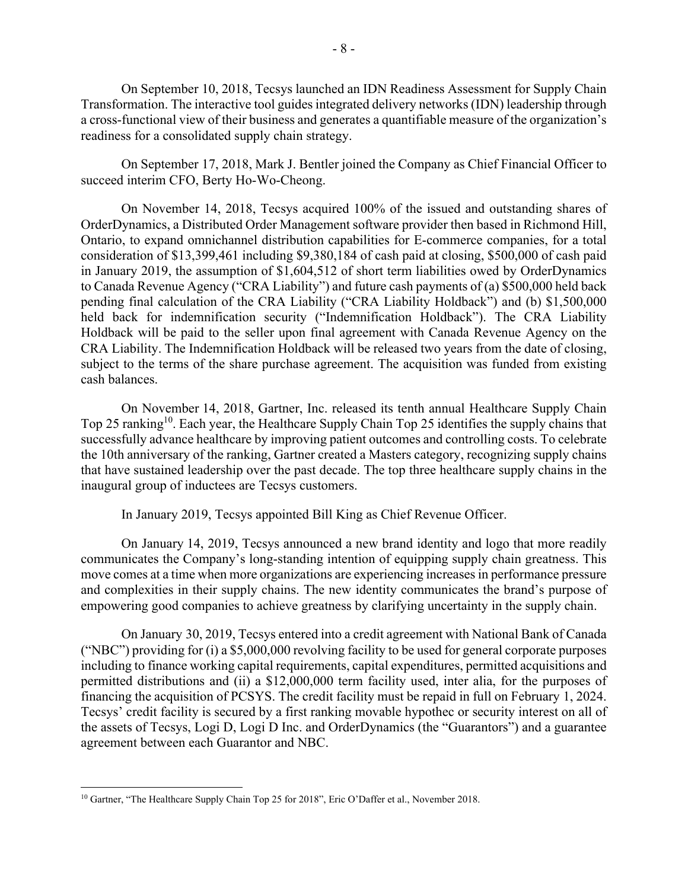On September 10, 2018, Tecsys launched an IDN Readiness Assessment for Supply Chain Transformation. The interactive tool guides integrated delivery networks (IDN) leadership through a cross-functional view of their business and generates a quantifiable measure of the organization's readiness for a consolidated supply chain strategy.

On September 17, 2018, Mark J. Bentler joined the Company as Chief Financial Officer to succeed interim CFO, Berty Ho-Wo-Cheong.

On November 14, 2018, Tecsys acquired 100% of the issued and outstanding shares of OrderDynamics, a Distributed Order Management software provider then based in Richmond Hill, Ontario, to expand omnichannel distribution capabilities for E-commerce companies, for a total consideration of \$13,399,461 including \$9,380,184 of cash paid at closing, \$500,000 of cash paid in January 2019, the assumption of \$1,604,512 of short term liabilities owed by OrderDynamics to Canada Revenue Agency ("CRA Liability") and future cash payments of (a) \$500,000 held back pending final calculation of the CRA Liability ("CRA Liability Holdback") and (b) \$1,500,000 held back for indemnification security ("Indemnification Holdback"). The CRA Liability Holdback will be paid to the seller upon final agreement with Canada Revenue Agency on the CRA Liability. The Indemnification Holdback will be released two years from the date of closing, subject to the terms of the share purchase agreement. The acquisition was funded from existing cash balances.

On November 14, 2018, Gartner, Inc. released its tenth annual Healthcare Supply Chain Top 25 ranking<sup>10</sup>. Each year, the Healthcare Supply Chain Top 25 identifies the supply chains that successfully advance healthcare by improving patient outcomes and controlling costs. To celebrate the 10th anniversary of the ranking, Gartner created a Masters category, recognizing supply chains that have sustained leadership over the past decade. The top three healthcare supply chains in the inaugural group of inductees are Tecsys customers.

In January 2019, Tecsys appointed Bill King as Chief Revenue Officer.

On January 14, 2019, Tecsys announced a new brand identity and logo that more readily communicates the Company's long-standing intention of equipping supply chain greatness. This move comes at a time when more organizations are experiencing increases in performance pressure and complexities in their supply chains. The new identity communicates the brand's purpose of empowering good companies to achieve greatness by clarifying uncertainty in the supply chain.

On January 30, 2019, Tecsys entered into a credit agreement with National Bank of Canada ("NBC") providing for (i) a \$5,000,000 revolving facility to be used for general corporate purposes including to finance working capital requirements, capital expenditures, permitted acquisitions and permitted distributions and (ii) a \$12,000,000 term facility used, inter alia, for the purposes of financing the acquisition of PCSYS. The credit facility must be repaid in full on February 1, 2024. Tecsys' credit facility is secured by a first ranking movable hypothec or security interest on all of the assets of Tecsys, Logi D, Logi D Inc. and OrderDynamics (the "Guarantors") and a guarantee agreement between each Guarantor and NBC.

<sup>&</sup>lt;sup>10</sup> Gartner, "The Healthcare Supply Chain Top 25 for 2018", Eric O'Daffer et al., November 2018.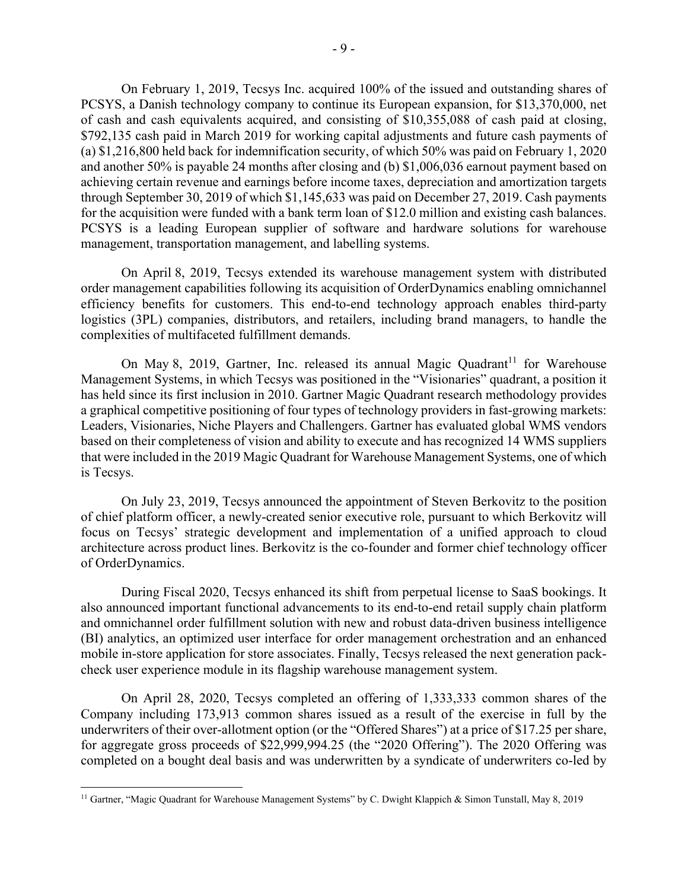On February 1, 2019, Tecsys Inc. acquired 100% of the issued and outstanding shares of PCSYS, a Danish technology company to continue its European expansion, for \$13,370,000, net of cash and cash equivalents acquired, and consisting of \$10,355,088 of cash paid at closing, \$792,135 cash paid in March 2019 for working capital adjustments and future cash payments of (a) \$1,216,800 held back for indemnification security, of which 50% was paid on February 1, 2020 and another 50% is payable 24 months after closing and (b) \$1,006,036 earnout payment based on achieving certain revenue and earnings before income taxes, depreciation and amortization targets through September 30, 2019 of which \$1,145,633 was paid on December 27, 2019. Cash payments for the acquisition were funded with a bank term loan of \$12.0 million and existing cash balances. PCSYS is a leading European supplier of software and hardware solutions for warehouse management, transportation management, and labelling systems.

On April 8, 2019, Tecsys extended its warehouse management system with distributed order management capabilities following its acquisition of OrderDynamics enabling omnichannel efficiency benefits for customers. This end-to-end technology approach enables third-party logistics (3PL) companies, distributors, and retailers, including brand managers, to handle the complexities of multifaceted fulfillment demands.

On May 8, 2019, Gartner, Inc. released its annual Magic Quadrant<sup>11</sup> for Warehouse Management Systems, in which Tecsys was positioned in the "Visionaries" quadrant, a position it has held since its first inclusion in 2010. Gartner Magic Quadrant research methodology provides a graphical competitive positioning of four types of technology providers in fast-growing markets: Leaders, Visionaries, Niche Players and Challengers. Gartner has evaluated global WMS vendors based on their completeness of vision and ability to execute and has recognized 14 WMS suppliers that were included in the 2019 Magic Quadrant for Warehouse Management Systems, one of which is Tecsys.

On July 23, 2019, Tecsys announced the appointment of Steven Berkovitz to the position of chief platform officer, a newly-created senior executive role, pursuant to which Berkovitz will focus on Tecsys' strategic development and implementation of a unified approach to cloud architecture across product lines. Berkovitz is the co-founder and former chief technology officer of OrderDynamics.

During Fiscal 2020, Tecsys enhanced its shift from perpetual license to SaaS bookings. It also announced important functional advancements to its end-to-end retail supply chain platform and omnichannel order fulfillment solution with new and robust data-driven business intelligence (BI) analytics, an optimized user interface for order management orchestration and an enhanced mobile in-store application for store associates. Finally, Tecsys released the next generation packcheck user experience module in its flagship warehouse management system.

On April 28, 2020, Tecsys completed an offering of 1,333,333 common shares of the Company including 173,913 common shares issued as a result of the exercise in full by the underwriters of their over-allotment option (or the "Offered Shares") at a price of \$17.25 per share, for aggregate gross proceeds of \$22,999,994.25 (the "2020 Offering"). The 2020 Offering was completed on a bought deal basis and was underwritten by a syndicate of underwriters co-led by

<sup>&</sup>lt;sup>11</sup> Gartner, "Magic Quadrant for Warehouse Management Systems" by C. Dwight Klappich & Simon Tunstall, May 8, 2019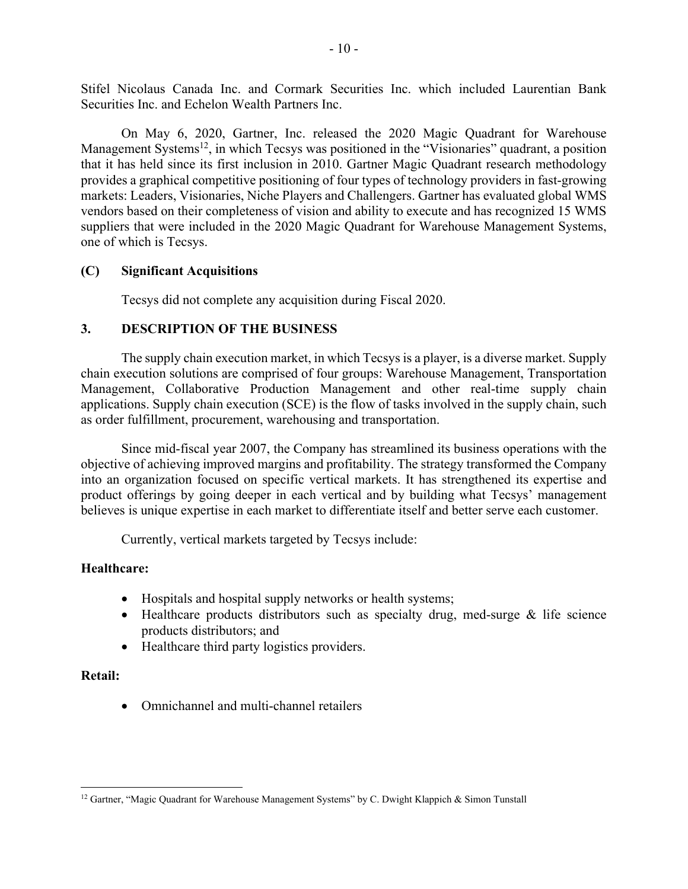Stifel Nicolaus Canada Inc. and Cormark Securities Inc. which included Laurentian Bank Securities Inc. and Echelon Wealth Partners Inc.

On May 6, 2020, Gartner, Inc. released the 2020 Magic Quadrant for Warehouse Management Systems<sup>12</sup>, in which Tecsys was positioned in the "Visionaries" quadrant, a position that it has held since its first inclusion in 2010. Gartner Magic Quadrant research methodology provides a graphical competitive positioning of four types of technology providers in fast-growing markets: Leaders, Visionaries, Niche Players and Challengers. Gartner has evaluated global WMS vendors based on their completeness of vision and ability to execute and has recognized 15 WMS suppliers that were included in the 2020 Magic Quadrant for Warehouse Management Systems, one of which is Tecsys.

## **(C) Significant Acquisitions**

Tecsys did not complete any acquisition during Fiscal 2020.

# **3. DESCRIPTION OF THE BUSINESS**

The supply chain execution market, in which Tecsys is a player, is a diverse market. Supply chain execution solutions are comprised of four groups: Warehouse Management, Transportation Management, Collaborative Production Management and other real-time supply chain applications. Supply chain execution (SCE) is the flow of tasks involved in the supply chain, such as order fulfillment, procurement, warehousing and transportation.

Since mid-fiscal year 2007, the Company has streamlined its business operations with the objective of achieving improved margins and profitability. The strategy transformed the Company into an organization focused on specific vertical markets. It has strengthened its expertise and product offerings by going deeper in each vertical and by building what Tecsys' management believes is unique expertise in each market to differentiate itself and better serve each customer.

Currently, vertical markets targeted by Tecsys include:

# **Healthcare:**

- Hospitals and hospital supply networks or health systems;
- Healthcare products distributors such as specialty drug, med-surge & life science products distributors; and
- Healthcare third party logistics providers.

## **Retail:**

Omnichannel and multi-channel retailers

 $12$  Gartner, "Magic Quadrant for Warehouse Management Systems" by C. Dwight Klappich & Simon Tunstall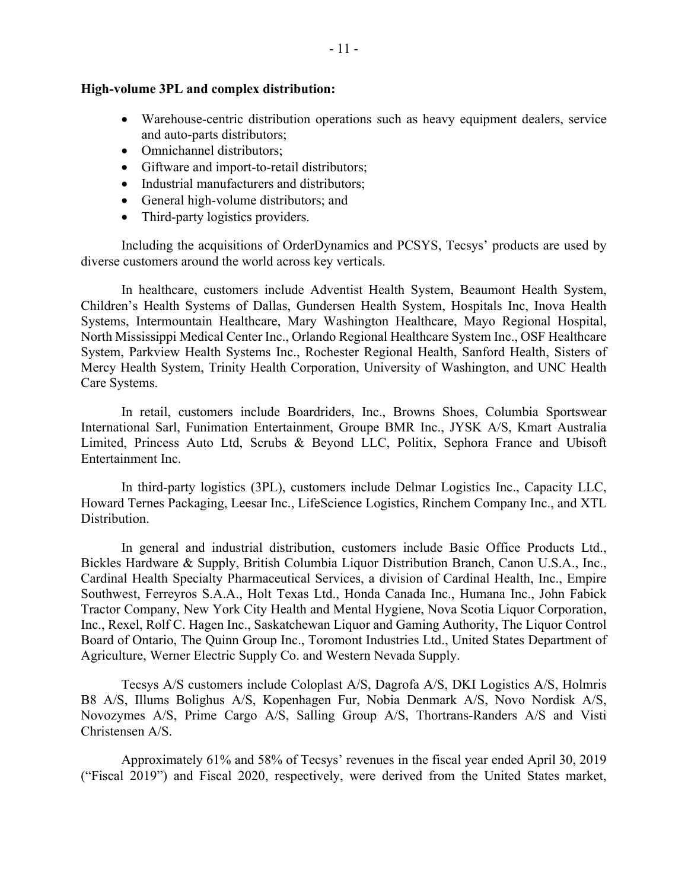### **High-volume 3PL and complex distribution:**

- Warehouse-centric distribution operations such as heavy equipment dealers, service and auto-parts distributors;
- Omnichannel distributors:
- Giftware and import-to-retail distributors;
- Industrial manufacturers and distributors;
- General high-volume distributors; and
- Third-party logistics providers.

Including the acquisitions of OrderDynamics and PCSYS, Tecsys' products are used by diverse customers around the world across key verticals.

In healthcare, customers include Adventist Health System, Beaumont Health System, Children's Health Systems of Dallas, Gundersen Health System, Hospitals Inc, Inova Health Systems, Intermountain Healthcare, Mary Washington Healthcare, Mayo Regional Hospital, North Mississippi Medical Center Inc., Orlando Regional Healthcare System Inc., OSF Healthcare System, Parkview Health Systems Inc., Rochester Regional Health, Sanford Health, Sisters of Mercy Health System, Trinity Health Corporation, University of Washington, and UNC Health Care Systems.

In retail, customers include Boardriders, Inc., Browns Shoes, Columbia Sportswear International Sarl, Funimation Entertainment, Groupe BMR Inc., JYSK A/S, Kmart Australia Limited, Princess Auto Ltd, Scrubs & Beyond LLC, Politix, Sephora France and Ubisoft Entertainment Inc.

In third-party logistics (3PL), customers include Delmar Logistics Inc., Capacity LLC, Howard Ternes Packaging, Leesar Inc., LifeScience Logistics, Rinchem Company Inc., and XTL Distribution.

In general and industrial distribution, customers include Basic Office Products Ltd., Bickles Hardware & Supply, British Columbia Liquor Distribution Branch, Canon U.S.A., Inc., Cardinal Health Specialty Pharmaceutical Services, a division of Cardinal Health, Inc., Empire Southwest, Ferreyros S.A.A., Holt Texas Ltd., Honda Canada Inc., Humana Inc., John Fabick Tractor Company, New York City Health and Mental Hygiene, Nova Scotia Liquor Corporation, Inc., Rexel, Rolf C. Hagen Inc., Saskatchewan Liquor and Gaming Authority, The Liquor Control Board of Ontario, The Quinn Group Inc., Toromont Industries Ltd., United States Department of Agriculture, Werner Electric Supply Co. and Western Nevada Supply.

Tecsys A/S customers include Coloplast A/S, Dagrofa A/S, DKI Logistics A/S, Holmris B8 A/S, Illums Bolighus A/S, Kopenhagen Fur, Nobia Denmark A/S, Novo Nordisk A/S, Novozymes A/S, Prime Cargo A/S, Salling Group A/S, Thortrans-Randers A/S and Visti Christensen A/S.

Approximately 61% and 58% of Tecsys' revenues in the fiscal year ended April 30, 2019 ("Fiscal 2019") and Fiscal 2020, respectively, were derived from the United States market,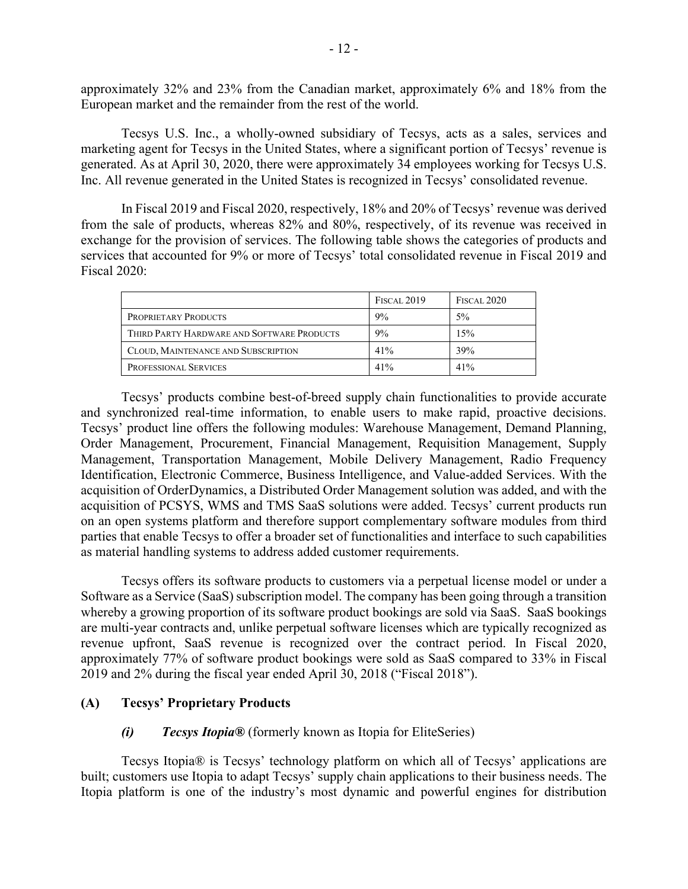approximately 32% and 23% from the Canadian market, approximately 6% and 18% from the European market and the remainder from the rest of the world.

Tecsys U.S. Inc., a wholly-owned subsidiary of Tecsys, acts as a sales, services and marketing agent for Tecsys in the United States, where a significant portion of Tecsys' revenue is generated. As at April 30, 2020, there were approximately 34 employees working for Tecsys U.S. Inc. All revenue generated in the United States is recognized in Tecsys' consolidated revenue.

In Fiscal 2019 and Fiscal 2020, respectively, 18% and 20% of Tecsys' revenue was derived from the sale of products, whereas 82% and 80%, respectively, of its revenue was received in exchange for the provision of services. The following table shows the categories of products and services that accounted for 9% or more of Tecsys' total consolidated revenue in Fiscal 2019 and Fiscal 2020:

|                                            | <b>FISCAL 2019</b> | <b>FISCAL 2020</b> |
|--------------------------------------------|--------------------|--------------------|
| <b>PROPRIETARY PRODUCTS</b>                | 9%                 | $5\%$              |
| THIRD PARTY HARDWARE AND SOFTWARE PRODUCTS | 9%                 | 15%                |
| CLOUD, MAINTENANCE AND SUBSCRIPTION        | 41%                | 39%                |
| <b>PROFESSIONAL SERVICES</b>               | 41%                | 41%                |

Tecsys' products combine best-of-breed supply chain functionalities to provide accurate and synchronized real-time information, to enable users to make rapid, proactive decisions. Tecsys' product line offers the following modules: Warehouse Management, Demand Planning, Order Management, Procurement, Financial Management, Requisition Management, Supply Management, Transportation Management, Mobile Delivery Management, Radio Frequency Identification, Electronic Commerce, Business Intelligence, and Value-added Services. With the acquisition of OrderDynamics, a Distributed Order Management solution was added, and with the acquisition of PCSYS, WMS and TMS SaaS solutions were added. Tecsys' current products run on an open systems platform and therefore support complementary software modules from third parties that enable Tecsys to offer a broader set of functionalities and interface to such capabilities as material handling systems to address added customer requirements.

Tecsys offers its software products to customers via a perpetual license model or under a Software as a Service (SaaS) subscription model. The company has been going through a transition whereby a growing proportion of its software product bookings are sold via SaaS. SaaS bookings are multi-year contracts and, unlike perpetual software licenses which are typically recognized as revenue upfront, SaaS revenue is recognized over the contract period. In Fiscal 2020, approximately 77% of software product bookings were sold as SaaS compared to 33% in Fiscal 2019 and 2% during the fiscal year ended April 30, 2018 ("Fiscal 2018").

### **(A) Tecsys' Proprietary Products**

### *(i) Tecsys Itopia®* (formerly known as Itopia for EliteSeries)

Tecsys Itopia® is Tecsys' technology platform on which all of Tecsys' applications are built; customers use Itopia to adapt Tecsys' supply chain applications to their business needs. The Itopia platform is one of the industry's most dynamic and powerful engines for distribution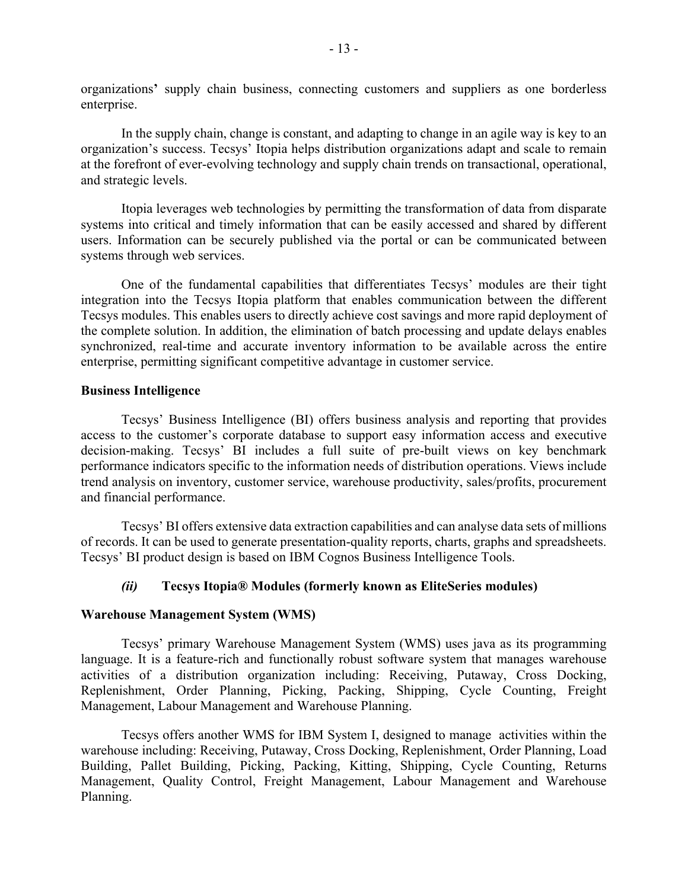organizations**'** supply chain business, connecting customers and suppliers as one borderless enterprise.

In the supply chain, change is constant, and adapting to change in an agile way is key to an organization's success. Tecsys' Itopia helps distribution organizations adapt and scale to remain at the forefront of ever-evolving technology and supply chain trends on transactional, operational, and strategic levels.

Itopia leverages web technologies by permitting the transformation of data from disparate systems into critical and timely information that can be easily accessed and shared by different users. Information can be securely published via the portal or can be communicated between systems through web services.

One of the fundamental capabilities that differentiates Tecsys' modules are their tight integration into the Tecsys Itopia platform that enables communication between the different Tecsys modules. This enables users to directly achieve cost savings and more rapid deployment of the complete solution. In addition, the elimination of batch processing and update delays enables synchronized, real-time and accurate inventory information to be available across the entire enterprise, permitting significant competitive advantage in customer service.

## **Business Intelligence**

Tecsys' Business Intelligence (BI) offers business analysis and reporting that provides access to the customer's corporate database to support easy information access and executive decision-making. Tecsys' BI includes a full suite of pre-built views on key benchmark performance indicators specific to the information needs of distribution operations. Views include trend analysis on inventory, customer service, warehouse productivity, sales/profits, procurement and financial performance.

Tecsys' BI offers extensive data extraction capabilities and can analyse data sets of millions of records. It can be used to generate presentation-quality reports, charts, graphs and spreadsheets. Tecsys' BI product design is based on IBM Cognos Business Intelligence Tools.

## *(ii)* **Tecsys Itopia® Modules (formerly known as EliteSeries modules)**

## **Warehouse Management System (WMS)**

Tecsys' primary Warehouse Management System (WMS) uses java as its programming language. It is a feature-rich and functionally robust software system that manages warehouse activities of a distribution organization including: Receiving, Putaway, Cross Docking, Replenishment, Order Planning, Picking, Packing, Shipping, Cycle Counting, Freight Management, Labour Management and Warehouse Planning.

Tecsys offers another WMS for IBM System I, designed to manage activities within the warehouse including: Receiving, Putaway, Cross Docking, Replenishment, Order Planning, Load Building, Pallet Building, Picking, Packing, Kitting, Shipping, Cycle Counting, Returns Management, Quality Control, Freight Management, Labour Management and Warehouse Planning.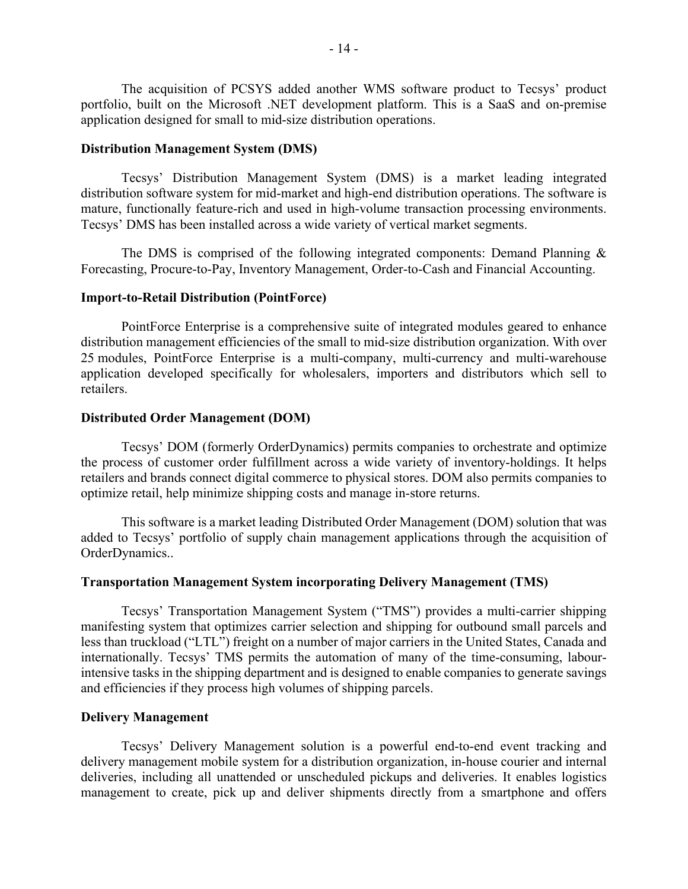The acquisition of PCSYS added another WMS software product to Tecsys' product portfolio, built on the Microsoft .NET development platform. This is a SaaS and on-premise application designed for small to mid-size distribution operations.

### **Distribution Management System (DMS)**

Tecsys' Distribution Management System (DMS) is a market leading integrated distribution software system for mid-market and high-end distribution operations. The software is mature, functionally feature-rich and used in high-volume transaction processing environments. Tecsys' DMS has been installed across a wide variety of vertical market segments.

The DMS is comprised of the following integrated components: Demand Planning  $\&$ Forecasting, Procure-to-Pay, Inventory Management, Order-to-Cash and Financial Accounting.

### **Import-to-Retail Distribution (PointForce)**

PointForce Enterprise is a comprehensive suite of integrated modules geared to enhance distribution management efficiencies of the small to mid-size distribution organization. With over 25 modules, PointForce Enterprise is a multi-company, multi-currency and multi-warehouse application developed specifically for wholesalers, importers and distributors which sell to retailers.

### **Distributed Order Management (DOM)**

Tecsys' DOM (formerly OrderDynamics) permits companies to orchestrate and optimize the process of customer order fulfillment across a wide variety of inventory-holdings. It helps retailers and brands connect digital commerce to physical stores. DOM also permits companies to optimize retail, help minimize shipping costs and manage in-store returns.

This software is a market leading Distributed Order Management (DOM) solution that was added to Tecsys' portfolio of supply chain management applications through the acquisition of OrderDynamics..

### **Transportation Management System incorporating Delivery Management (TMS)**

Tecsys' Transportation Management System ("TMS") provides a multi-carrier shipping manifesting system that optimizes carrier selection and shipping for outbound small parcels and less than truckload ("LTL") freight on a number of major carriers in the United States, Canada and internationally. Tecsys' TMS permits the automation of many of the time-consuming, labourintensive tasks in the shipping department and is designed to enable companies to generate savings and efficiencies if they process high volumes of shipping parcels.

### **Delivery Management**

Tecsys' Delivery Management solution is a powerful end-to-end event tracking and delivery management mobile system for a distribution organization, in-house courier and internal deliveries, including all unattended or unscheduled pickups and deliveries. It enables logistics management to create, pick up and deliver shipments directly from a smartphone and offers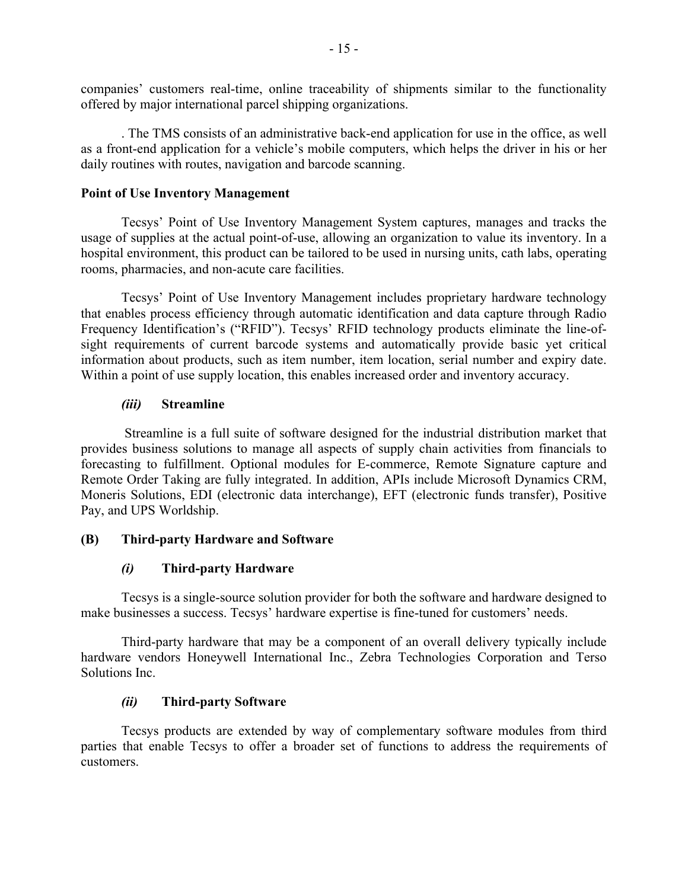companies' customers real-time, online traceability of shipments similar to the functionality offered by major international parcel shipping organizations.

. The TMS consists of an administrative back-end application for use in the office, as well as a front-end application for a vehicle's mobile computers, which helps the driver in his or her daily routines with routes, navigation and barcode scanning.

## **Point of Use Inventory Management**

Tecsys' Point of Use Inventory Management System captures, manages and tracks the usage of supplies at the actual point-of-use, allowing an organization to value its inventory. In a hospital environment, this product can be tailored to be used in nursing units, cath labs, operating rooms, pharmacies, and non-acute care facilities.

Tecsys' Point of Use Inventory Management includes proprietary hardware technology that enables process efficiency through automatic identification and data capture through Radio Frequency Identification's ("RFID"). Tecsys' RFID technology products eliminate the line-ofsight requirements of current barcode systems and automatically provide basic yet critical information about products, such as item number, item location, serial number and expiry date. Within a point of use supply location, this enables increased order and inventory accuracy.

# *(iii)* **Streamline**

 Streamline is a full suite of software designed for the industrial distribution market that provides business solutions to manage all aspects of supply chain activities from financials to forecasting to fulfillment. Optional modules for E-commerce, Remote Signature capture and Remote Order Taking are fully integrated. In addition, APIs include Microsoft Dynamics CRM, Moneris Solutions, EDI (electronic data interchange), EFT (electronic funds transfer), Positive Pay, and UPS Worldship.

## **(B) Third-party Hardware and Software**

# *(i)* **Third-party Hardware**

Tecsys is a single-source solution provider for both the software and hardware designed to make businesses a success. Tecsys' hardware expertise is fine-tuned for customers' needs.

Third-party hardware that may be a component of an overall delivery typically include hardware vendors Honeywell International Inc., Zebra Technologies Corporation and Terso Solutions Inc.

# *(ii)* **Third-party Software**

Tecsys products are extended by way of complementary software modules from third parties that enable Tecsys to offer a broader set of functions to address the requirements of customers.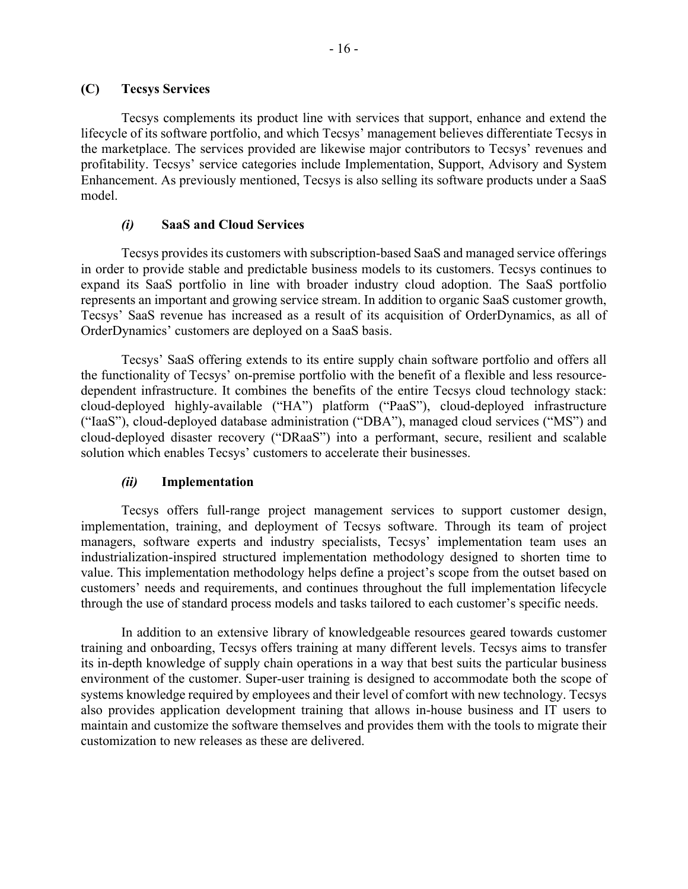Tecsys complements its product line with services that support, enhance and extend the lifecycle of its software portfolio, and which Tecsys' management believes differentiate Tecsys in the marketplace. The services provided are likewise major contributors to Tecsys' revenues and profitability. Tecsys' service categories include Implementation, Support, Advisory and System Enhancement. As previously mentioned, Tecsys is also selling its software products under a SaaS model.

## *(i)* **SaaS and Cloud Services**

Tecsys provides its customers with subscription-based SaaS and managed service offerings in order to provide stable and predictable business models to its customers. Tecsys continues to expand its SaaS portfolio in line with broader industry cloud adoption. The SaaS portfolio represents an important and growing service stream. In addition to organic SaaS customer growth, Tecsys' SaaS revenue has increased as a result of its acquisition of OrderDynamics, as all of OrderDynamics' customers are deployed on a SaaS basis.

Tecsys' SaaS offering extends to its entire supply chain software portfolio and offers all the functionality of Tecsys' on-premise portfolio with the benefit of a flexible and less resourcedependent infrastructure. It combines the benefits of the entire Tecsys cloud technology stack: cloud-deployed highly-available ("HA") platform ("PaaS"), cloud-deployed infrastructure ("IaaS"), cloud-deployed database administration ("DBA"), managed cloud services ("MS") and cloud-deployed disaster recovery ("DRaaS") into a performant, secure, resilient and scalable solution which enables Tecsys' customers to accelerate their businesses.

# *(ii)* **Implementation**

Tecsys offers full-range project management services to support customer design, implementation, training, and deployment of Tecsys software. Through its team of project managers, software experts and industry specialists, Tecsys' implementation team uses an industrialization-inspired structured implementation methodology designed to shorten time to value. This implementation methodology helps define a project's scope from the outset based on customers' needs and requirements, and continues throughout the full implementation lifecycle through the use of standard process models and tasks tailored to each customer's specific needs.

In addition to an extensive library of knowledgeable resources geared towards customer training and onboarding, Tecsys offers training at many different levels. Tecsys aims to transfer its in-depth knowledge of supply chain operations in a way that best suits the particular business environment of the customer. Super-user training is designed to accommodate both the scope of systems knowledge required by employees and their level of comfort with new technology. Tecsys also provides application development training that allows in-house business and IT users to maintain and customize the software themselves and provides them with the tools to migrate their customization to new releases as these are delivered.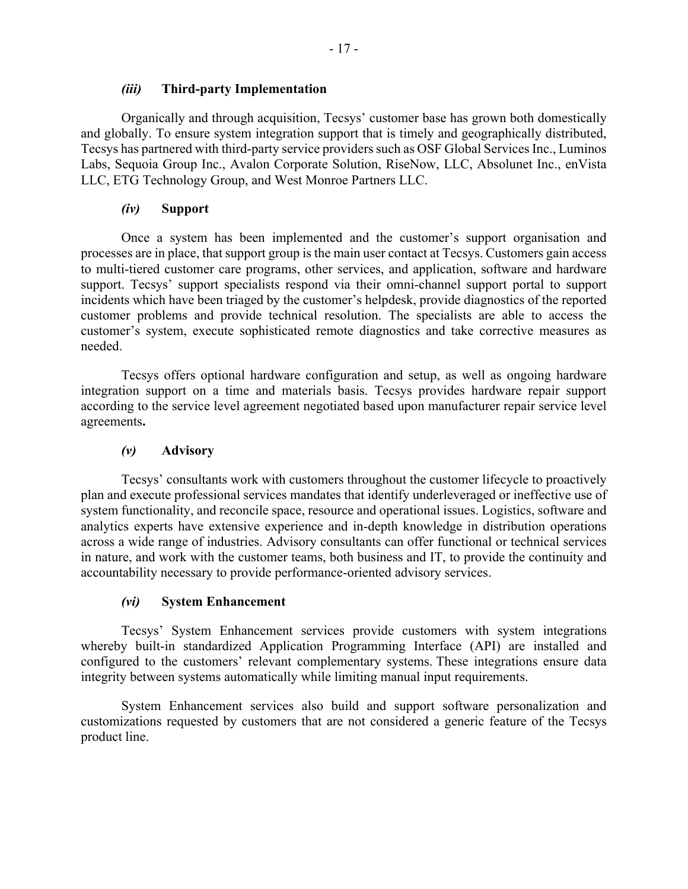## *(iii)* **Third-party Implementation**

Organically and through acquisition, Tecsys' customer base has grown both domestically and globally. To ensure system integration support that is timely and geographically distributed, Tecsys has partnered with third-party service providers such as OSF Global Services Inc., Luminos Labs, Sequoia Group Inc., Avalon Corporate Solution, RiseNow, LLC, Absolunet Inc., enVista LLC, ETG Technology Group, and West Monroe Partners LLC.

## *(iv)* **Support**

Once a system has been implemented and the customer's support organisation and processes are in place, that support group is the main user contact at Tecsys. Customers gain access to multi-tiered customer care programs, other services, and application, software and hardware support. Tecsys' support specialists respond via their omni-channel support portal to support incidents which have been triaged by the customer's helpdesk, provide diagnostics of the reported customer problems and provide technical resolution. The specialists are able to access the customer's system, execute sophisticated remote diagnostics and take corrective measures as needed.

Tecsys offers optional hardware configuration and setup, as well as ongoing hardware integration support on a time and materials basis. Tecsys provides hardware repair support according to the service level agreement negotiated based upon manufacturer repair service level agreements**.**

## *(v)* **Advisory**

Tecsys' consultants work with customers throughout the customer lifecycle to proactively plan and execute professional services mandates that identify underleveraged or ineffective use of system functionality, and reconcile space, resource and operational issues. Logistics, software and analytics experts have extensive experience and in-depth knowledge in distribution operations across a wide range of industries. Advisory consultants can offer functional or technical services in nature, and work with the customer teams, both business and IT, to provide the continuity and accountability necessary to provide performance-oriented advisory services.

## *(vi)* **System Enhancement**

Tecsys' System Enhancement services provide customers with system integrations whereby built-in standardized Application Programming Interface (API) are installed and configured to the customers' relevant complementary systems. These integrations ensure data integrity between systems automatically while limiting manual input requirements.

System Enhancement services also build and support software personalization and customizations requested by customers that are not considered a generic feature of the Tecsys product line.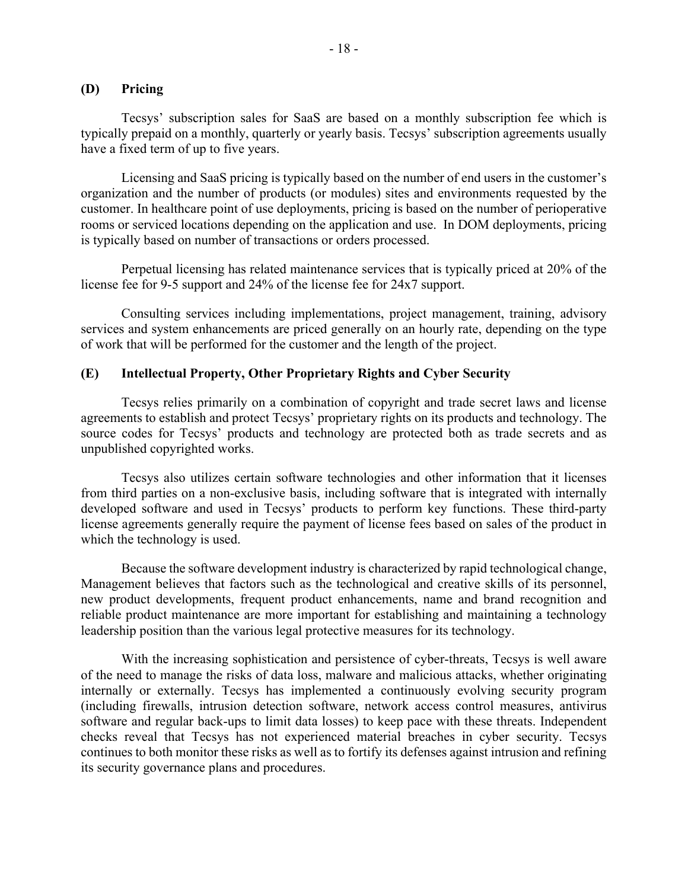### **(D) Pricing**

Tecsys' subscription sales for SaaS are based on a monthly subscription fee which is typically prepaid on a monthly, quarterly or yearly basis. Tecsys' subscription agreements usually have a fixed term of up to five years.

Licensing and SaaS pricing is typically based on the number of end users in the customer's organization and the number of products (or modules) sites and environments requested by the customer. In healthcare point of use deployments, pricing is based on the number of perioperative rooms or serviced locations depending on the application and use. In DOM deployments, pricing is typically based on number of transactions or orders processed.

Perpetual licensing has related maintenance services that is typically priced at 20% of the license fee for 9-5 support and 24% of the license fee for 24x7 support.

Consulting services including implementations, project management, training, advisory services and system enhancements are priced generally on an hourly rate, depending on the type of work that will be performed for the customer and the length of the project.

### **(E) Intellectual Property, Other Proprietary Rights and Cyber Security**

Tecsys relies primarily on a combination of copyright and trade secret laws and license agreements to establish and protect Tecsys' proprietary rights on its products and technology. The source codes for Tecsys' products and technology are protected both as trade secrets and as unpublished copyrighted works.

Tecsys also utilizes certain software technologies and other information that it licenses from third parties on a non-exclusive basis, including software that is integrated with internally developed software and used in Tecsys' products to perform key functions. These third-party license agreements generally require the payment of license fees based on sales of the product in which the technology is used.

Because the software development industry is characterized by rapid technological change, Management believes that factors such as the technological and creative skills of its personnel, new product developments, frequent product enhancements, name and brand recognition and reliable product maintenance are more important for establishing and maintaining a technology leadership position than the various legal protective measures for its technology.

With the increasing sophistication and persistence of cyber-threats, Tecsys is well aware of the need to manage the risks of data loss, malware and malicious attacks, whether originating internally or externally. Tecsys has implemented a continuously evolving security program (including firewalls, intrusion detection software, network access control measures, antivirus software and regular back-ups to limit data losses) to keep pace with these threats. Independent checks reveal that Tecsys has not experienced material breaches in cyber security. Tecsys continues to both monitor these risks as well as to fortify its defenses against intrusion and refining its security governance plans and procedures.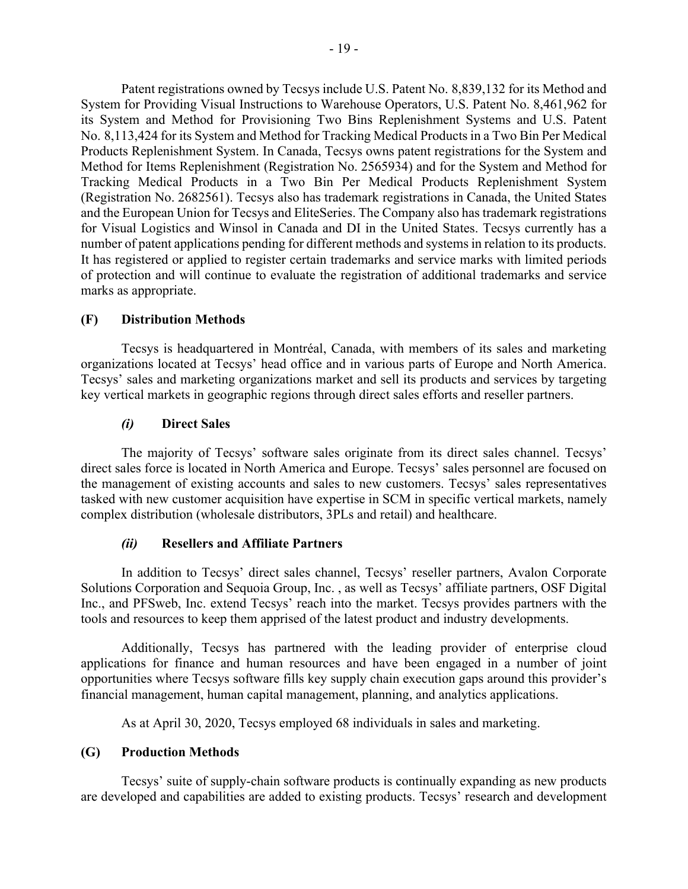Patent registrations owned by Tecsys include U.S. Patent No. 8,839,132 for its Method and System for Providing Visual Instructions to Warehouse Operators, U.S. Patent No. 8,461,962 for its System and Method for Provisioning Two Bins Replenishment Systems and U.S. Patent No. 8,113,424 for its System and Method for Tracking Medical Products in a Two Bin Per Medical Products Replenishment System. In Canada, Tecsys owns patent registrations for the System and Method for Items Replenishment (Registration No. 2565934) and for the System and Method for Tracking Medical Products in a Two Bin Per Medical Products Replenishment System (Registration No. 2682561). Tecsys also has trademark registrations in Canada, the United States and the European Union for Tecsys and EliteSeries. The Company also has trademark registrations for Visual Logistics and Winsol in Canada and DI in the United States. Tecsys currently has a number of patent applications pending for different methods and systems in relation to its products. It has registered or applied to register certain trademarks and service marks with limited periods of protection and will continue to evaluate the registration of additional trademarks and service marks as appropriate.

# **(F) Distribution Methods**

Tecsys is headquartered in Montréal, Canada, with members of its sales and marketing organizations located at Tecsys' head office and in various parts of Europe and North America. Tecsys' sales and marketing organizations market and sell its products and services by targeting key vertical markets in geographic regions through direct sales efforts and reseller partners.

# *(i)* **Direct Sales**

The majority of Tecsys' software sales originate from its direct sales channel. Tecsys' direct sales force is located in North America and Europe. Tecsys' sales personnel are focused on the management of existing accounts and sales to new customers. Tecsys' sales representatives tasked with new customer acquisition have expertise in SCM in specific vertical markets, namely complex distribution (wholesale distributors, 3PLs and retail) and healthcare.

## *(ii)* **Resellers and Affiliate Partners**

In addition to Tecsys' direct sales channel, Tecsys' reseller partners, Avalon Corporate Solutions Corporation and Sequoia Group, Inc. , as well as Tecsys' affiliate partners, OSF Digital Inc., and PFSweb, Inc. extend Tecsys' reach into the market. Tecsys provides partners with the tools and resources to keep them apprised of the latest product and industry developments.

Additionally, Tecsys has partnered with the leading provider of enterprise cloud applications for finance and human resources and have been engaged in a number of joint opportunities where Tecsys software fills key supply chain execution gaps around this provider's financial management, human capital management, planning, and analytics applications.

As at April 30, 2020, Tecsys employed 68 individuals in sales and marketing.

# **(G) Production Methods**

Tecsys' suite of supply-chain software products is continually expanding as new products are developed and capabilities are added to existing products. Tecsys' research and development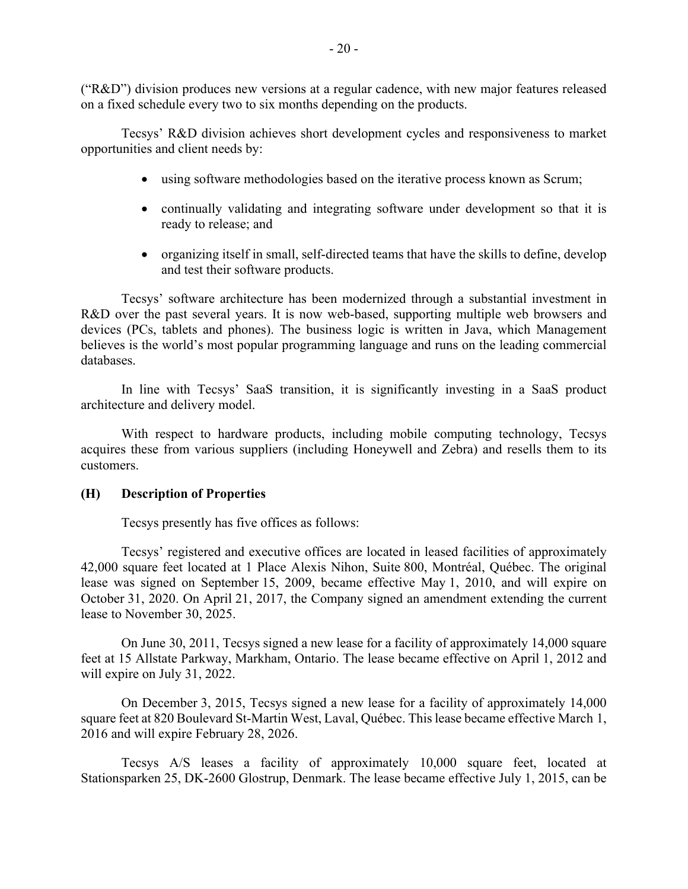("R&D") division produces new versions at a regular cadence, with new major features released on a fixed schedule every two to six months depending on the products.

Tecsys' R&D division achieves short development cycles and responsiveness to market opportunities and client needs by:

- using software methodologies based on the iterative process known as Scrum;
- continually validating and integrating software under development so that it is ready to release; and
- organizing itself in small, self-directed teams that have the skills to define, develop and test their software products.

Tecsys' software architecture has been modernized through a substantial investment in R&D over the past several years. It is now web-based, supporting multiple web browsers and devices (PCs, tablets and phones). The business logic is written in Java, which Management believes is the world's most popular programming language and runs on the leading commercial databases.

In line with Tecsys' SaaS transition, it is significantly investing in a SaaS product architecture and delivery model.

With respect to hardware products, including mobile computing technology, Tecsys acquires these from various suppliers (including Honeywell and Zebra) and resells them to its customers.

## **(H) Description of Properties**

Tecsys presently has five offices as follows:

Tecsys' registered and executive offices are located in leased facilities of approximately 42,000 square feet located at 1 Place Alexis Nihon, Suite 800, Montréal, Québec. The original lease was signed on September 15, 2009, became effective May 1, 2010, and will expire on October 31, 2020. On April 21, 2017, the Company signed an amendment extending the current lease to November 30, 2025.

On June 30, 2011, Tecsys signed a new lease for a facility of approximately 14,000 square feet at 15 Allstate Parkway, Markham, Ontario. The lease became effective on April 1, 2012 and will expire on July 31, 2022.

On December 3, 2015, Tecsys signed a new lease for a facility of approximately 14,000 square feet at 820 Boulevard St-Martin West, Laval, Québec. This lease became effective March 1, 2016 and will expire February 28, 2026.

Tecsys A/S leases a facility of approximately 10,000 square feet, located at Stationsparken 25, DK-2600 Glostrup, Denmark. The lease became effective July 1, 2015, can be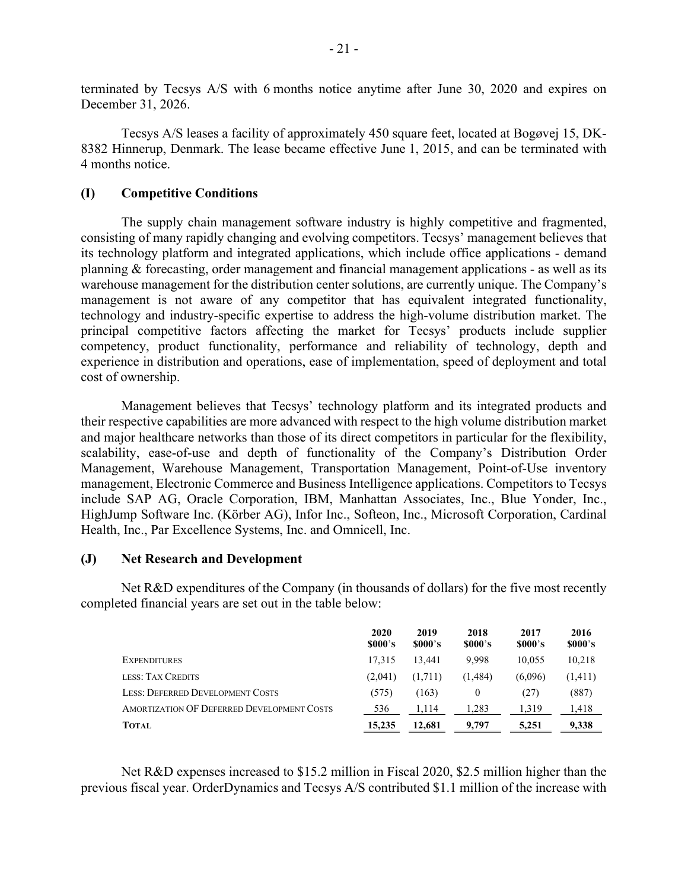terminated by Tecsys A/S with 6 months notice anytime after June 30, 2020 and expires on December 31, 2026.

Tecsys A/S leases a facility of approximately 450 square feet, located at Bogøvej 15, DK-8382 Hinnerup, Denmark. The lease became effective June 1, 2015, and can be terminated with 4 months notice.

### **(I) Competitive Conditions**

The supply chain management software industry is highly competitive and fragmented, consisting of many rapidly changing and evolving competitors. Tecsys' management believes that its technology platform and integrated applications, which include office applications - demand planning & forecasting, order management and financial management applications - as well as its warehouse management for the distribution center solutions, are currently unique. The Company's management is not aware of any competitor that has equivalent integrated functionality, technology and industry-specific expertise to address the high-volume distribution market. The principal competitive factors affecting the market for Tecsys' products include supplier competency, product functionality, performance and reliability of technology, depth and experience in distribution and operations, ease of implementation, speed of deployment and total cost of ownership.

Management believes that Tecsys' technology platform and its integrated products and their respective capabilities are more advanced with respect to the high volume distribution market and major healthcare networks than those of its direct competitors in particular for the flexibility, scalability, ease-of-use and depth of functionality of the Company's Distribution Order Management, Warehouse Management, Transportation Management, Point-of-Use inventory management, Electronic Commerce and Business Intelligence applications. Competitors to Tecsys include SAP AG, Oracle Corporation, IBM, Manhattan Associates, Inc., Blue Yonder, Inc., HighJump Software Inc. (Körber AG), Infor Inc., Softeon, Inc., Microsoft Corporation, Cardinal Health, Inc., Par Excellence Systems, Inc. and Omnicell, Inc.

### **(J) Net Research and Development**

Net R&D expenditures of the Company (in thousands of dollars) for the five most recently completed financial years are set out in the table below:

|                                            | 2020<br>\$000's | 2019<br>\$000's | 2018<br>\$000's | 2017<br>\$000's | 2016<br>\$000's |
|--------------------------------------------|-----------------|-----------------|-----------------|-----------------|-----------------|
| <b>EXPENDITURES</b>                        | 17.315          | 13.441          | 9.998           | 10.055          | 10,218          |
| LESS: TAX CREDITS                          | (2,041)         | (1,711)         | (1,484)         | (6,096)         | (1,411)         |
| <b>LESS: DEFERRED DEVELOPMENT COSTS</b>    | (575)           | (163)           | 0               | (27)            | (887)           |
| AMORTIZATION OF DEFERRED DEVELOPMENT COSTS | 536             | 1.114           | 1.283           | 1.319           | 1.418           |
| <b>TOTAL</b>                               | 15,235          | 12.681          | 9.797           | 5,251           | 9,338           |

Net R&D expenses increased to \$15.2 million in Fiscal 2020, \$2.5 million higher than the previous fiscal year. OrderDynamics and Tecsys A/S contributed \$1.1 million of the increase with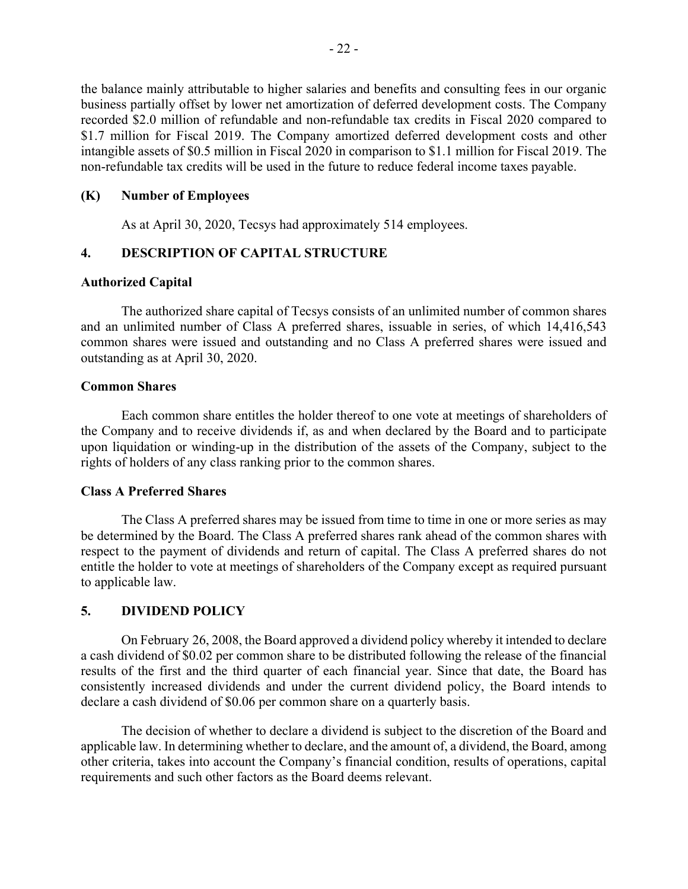the balance mainly attributable to higher salaries and benefits and consulting fees in our organic business partially offset by lower net amortization of deferred development costs. The Company recorded \$2.0 million of refundable and non-refundable tax credits in Fiscal 2020 compared to \$1.7 million for Fiscal 2019. The Company amortized deferred development costs and other intangible assets of \$0.5 million in Fiscal 2020 in comparison to \$1.1 million for Fiscal 2019. The non-refundable tax credits will be used in the future to reduce federal income taxes payable.

### **(K) Number of Employees**

As at April 30, 2020, Tecsys had approximately 514 employees.

# **4. DESCRIPTION OF CAPITAL STRUCTURE**

### **Authorized Capital**

The authorized share capital of Tecsys consists of an unlimited number of common shares and an unlimited number of Class A preferred shares, issuable in series, of which 14,416,543 common shares were issued and outstanding and no Class A preferred shares were issued and outstanding as at April 30, 2020.

### **Common Shares**

Each common share entitles the holder thereof to one vote at meetings of shareholders of the Company and to receive dividends if, as and when declared by the Board and to participate upon liquidation or winding-up in the distribution of the assets of the Company, subject to the rights of holders of any class ranking prior to the common shares.

### **Class A Preferred Shares**

The Class A preferred shares may be issued from time to time in one or more series as may be determined by the Board. The Class A preferred shares rank ahead of the common shares with respect to the payment of dividends and return of capital. The Class A preferred shares do not entitle the holder to vote at meetings of shareholders of the Company except as required pursuant to applicable law.

## **5. DIVIDEND POLICY**

On February 26, 2008, the Board approved a dividend policy whereby it intended to declare a cash dividend of \$0.02 per common share to be distributed following the release of the financial results of the first and the third quarter of each financial year. Since that date, the Board has consistently increased dividends and under the current dividend policy, the Board intends to declare a cash dividend of \$0.06 per common share on a quarterly basis.

The decision of whether to declare a dividend is subject to the discretion of the Board and applicable law. In determining whether to declare, and the amount of, a dividend, the Board, among other criteria, takes into account the Company's financial condition, results of operations, capital requirements and such other factors as the Board deems relevant.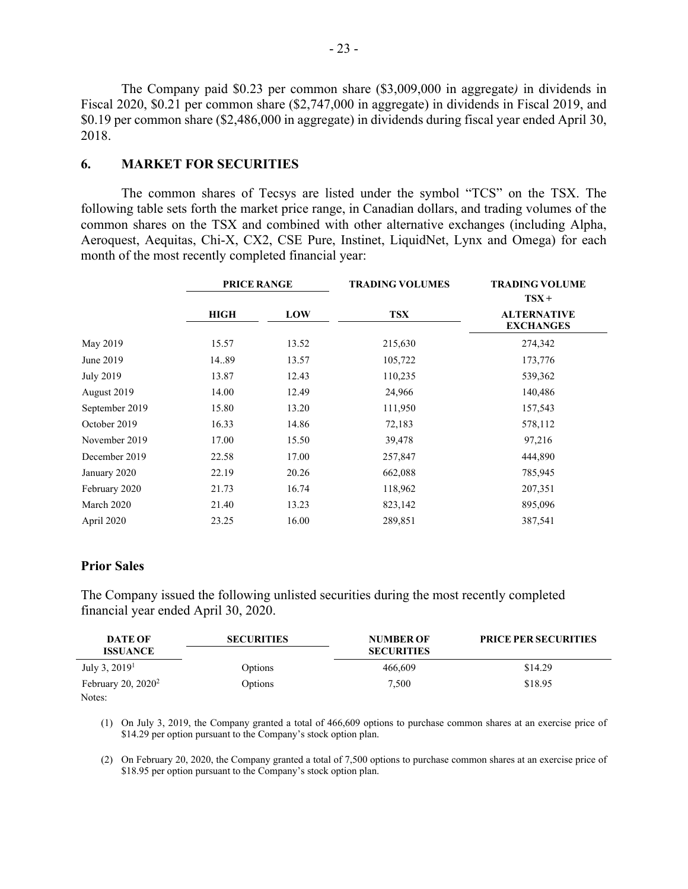The Company paid \$0.23 per common share (\$3,009,000 in aggregate*)* in dividends in Fiscal 2020, \$0.21 per common share (\$2,747,000 in aggregate) in dividends in Fiscal 2019, and \$0.19 per common share (\$2,486,000 in aggregate) in dividends during fiscal year ended April 30, 2018.

## **6. MARKET FOR SECURITIES**

The common shares of Tecsys are listed under the symbol "TCS" on the TSX. The following table sets forth the market price range, in Canadian dollars, and trading volumes of the common shares on the TSX and combined with other alternative exchanges (including Alpha, Aeroquest, Aequitas, Chi-X, CX2, CSE Pure, Instinet, LiquidNet, Lynx and Omega) for each month of the most recently completed financial year:

|                  | <b>PRICE RANGE</b> |       | <b>TRADING VOLUMES</b> | <b>TRADING VOLUME</b><br>$TSX +$       |
|------------------|--------------------|-------|------------------------|----------------------------------------|
|                  | <b>HIGH</b>        | LOW   | <b>TSX</b>             | <b>ALTERNATIVE</b><br><b>EXCHANGES</b> |
| May 2019         | 15.57              | 13.52 | 215,630                | 274,342                                |
| June 2019        | 14.89              | 13.57 | 105,722                | 173,776                                |
| <b>July 2019</b> | 13.87              | 12.43 | 110,235                | 539,362                                |
| August 2019      | 14.00              | 12.49 | 24,966                 | 140,486                                |
| September 2019   | 15.80              | 13.20 | 111,950                | 157,543                                |
| October 2019     | 16.33              | 14.86 | 72,183                 | 578,112                                |
| November 2019    | 17.00              | 15.50 | 39,478                 | 97,216                                 |
| December 2019    | 22.58              | 17.00 | 257,847                | 444,890                                |
| January 2020     | 22.19              | 20.26 | 662,088                | 785,945                                |
| February 2020    | 21.73              | 16.74 | 118,962                | 207,351                                |
| March 2020       | 21.40              | 13.23 | 823,142                | 895,096                                |
| April 2020       | 23.25              | 16.00 | 289,851                | 387,541                                |

### **Prior Sales**

The Company issued the following unlisted securities during the most recently completed financial year ended April 30, 2020.

| <b>DATE OF</b>        | <b>SECURITIES</b> | <b>NUMBER OF</b>  | <b>PRICE PER SECURITIES</b> |
|-----------------------|-------------------|-------------------|-----------------------------|
| <b>ISSUANCE</b>       |                   | <b>SECURITIES</b> |                             |
| July 3, $20191$       | Options           | 466,609           | \$14.29                     |
| February 20, $2020^2$ | Options           | 7,500             | \$18.95                     |
| Notes:                |                   |                   |                             |

(1) On July 3, 2019, the Company granted a total of 466,609 options to purchase common shares at an exercise price of \$14.29 per option pursuant to the Company's stock option plan.

(2) On February 20, 2020, the Company granted a total of 7,500 options to purchase common shares at an exercise price of \$18.95 per option pursuant to the Company's stock option plan.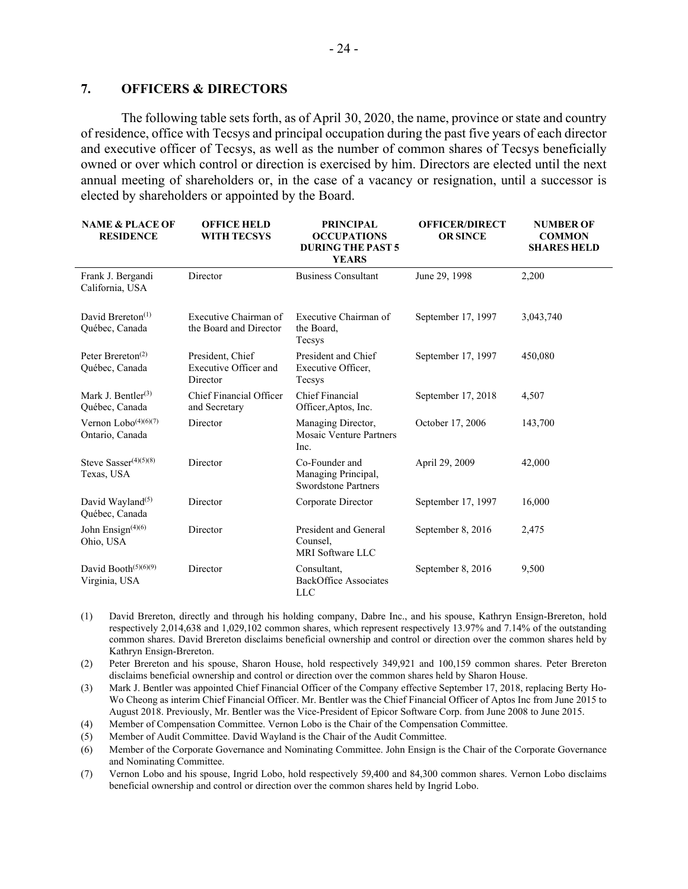## **7. OFFICERS & DIRECTORS**

The following table sets forth, as of April 30, 2020, the name, province or state and country of residence, office with Tecsys and principal occupation during the past five years of each director and executive officer of Tecsys, as well as the number of common shares of Tecsys beneficially owned or over which control or direction is exercised by him. Directors are elected until the next annual meeting of shareholders or, in the case of a vacancy or resignation, until a successor is elected by shareholders or appointed by the Board.

| <b>NAME &amp; PLACE OF</b><br><b>RESIDENCE</b>               | <b>OFFICE HELD</b><br><b>WITH TECSYS</b>              | <b>PRINCIPAL</b><br><b>OCCUPATIONS</b><br><b>DURING THE PAST 5</b><br><b>YEARS</b> | <b>OFFICER/DIRECT</b><br><b>OR SINCE</b> | <b>NUMBER OF</b><br><b>COMMON</b><br><b>SHARES HELD</b> |
|--------------------------------------------------------------|-------------------------------------------------------|------------------------------------------------------------------------------------|------------------------------------------|---------------------------------------------------------|
| Frank J. Bergandi<br>California, USA                         | Director                                              | <b>Business Consultant</b>                                                         | June 29, 1998                            | 2,200                                                   |
| David Brereton <sup>(1)</sup><br>Québec, Canada              | Executive Chairman of<br>the Board and Director       | Executive Chairman of<br>the Board,<br>Tecsys                                      | September 17, 1997                       | 3,043,740                                               |
| Peter Brereton <sup><math>(2)</math></sup><br>Québec, Canada | President, Chief<br>Executive Officer and<br>Director | President and Chief<br>Executive Officer,<br>Tecsys                                | September 17, 1997                       | 450,080                                                 |
| Mark J. Bentler <sup>(3)</sup><br>Québec, Canada             | Chief Financial Officer<br>and Secretary              | <b>Chief Financial</b><br>Officer, Aptos, Inc.                                     | September 17, 2018                       | 4,507                                                   |
| Vernon Lobo $(4)(6)(7)$<br>Ontario, Canada                   | Director                                              | Managing Director,<br><b>Mosaic Venture Partners</b><br>Inc.                       | October 17, 2006                         | 143,700                                                 |
| Steve Sasser <sup>(4)(5)(8)</sup><br>Texas, USA              | Director                                              | Co-Founder and<br>Managing Principal,<br><b>Swordstone Partners</b>                | April 29, 2009                           | 42,000                                                  |
| David Wayland <sup><math>(5)</math></sup><br>Québec, Canada  | Director                                              | Corporate Director                                                                 | September 17, 1997                       | 16,000                                                  |
| John Ensign(4)(6)<br>Ohio, USA                               | Director                                              | President and General<br>Counsel,<br><b>MRI</b> Software LLC                       | September 8, 2016                        | 2,475                                                   |
| David Booth <sup>(5)(6)(9)</sup><br>Virginia, USA            | Director                                              | Consultant,<br><b>BackOffice Associates</b><br><b>LLC</b>                          | September 8, 2016                        | 9,500                                                   |

- (1) David Brereton, directly and through his holding company, Dabre Inc., and his spouse, Kathryn Ensign-Brereton, hold respectively 2,014,638 and 1,029,102 common shares, which represent respectively 13.97% and 7.14% of the outstanding common shares. David Brereton disclaims beneficial ownership and control or direction over the common shares held by Kathryn Ensign-Brereton.
- (2) Peter Brereton and his spouse, Sharon House, hold respectively 349,921 and 100,159 common shares. Peter Brereton disclaims beneficial ownership and control or direction over the common shares held by Sharon House.
- (3) Mark J. Bentler was appointed Chief Financial Officer of the Company effective September 17, 2018, replacing Berty Ho-Wo Cheong as interim Chief Financial Officer. Mr. Bentler was the Chief Financial Officer of Aptos Inc from June 2015 to August 2018. Previously, Mr. Bentler was the Vice-President of Epicor Software Corp. from June 2008 to June 2015.
- (4) Member of Compensation Committee. Vernon Lobo is the Chair of the Compensation Committee.
- (5) Member of Audit Committee. David Wayland is the Chair of the Audit Committee.
- (6) Member of the Corporate Governance and Nominating Committee. John Ensign is the Chair of the Corporate Governance and Nominating Committee.
- (7) Vernon Lobo and his spouse, Ingrid Lobo, hold respectively 59,400 and 84,300 common shares. Vernon Lobo disclaims beneficial ownership and control or direction over the common shares held by Ingrid Lobo.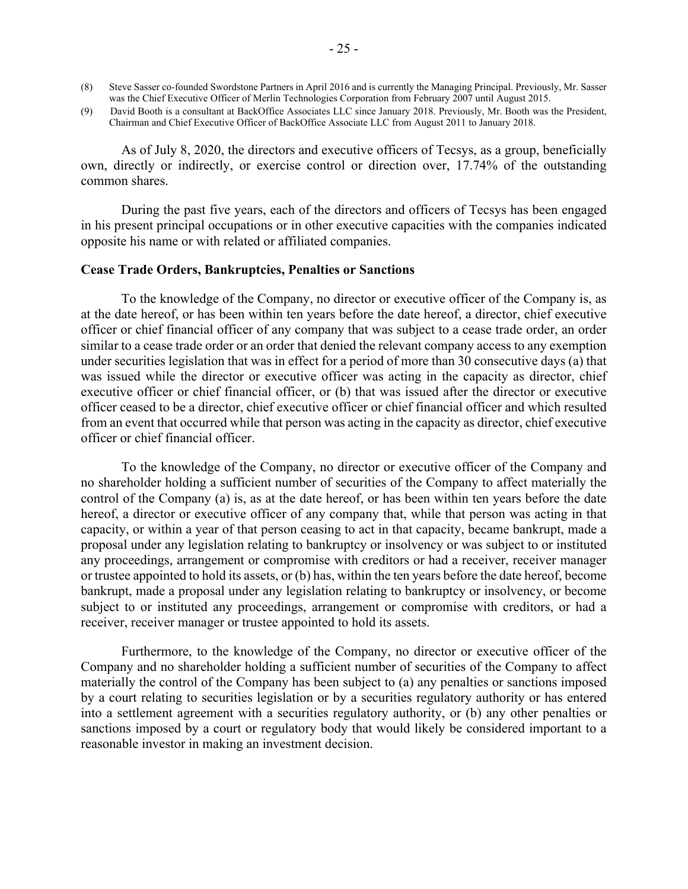- (8) Steve Sasser co-founded Swordstone Partners in April 2016 and is currently the Managing Principal. Previously, Mr. Sasser was the Chief Executive Officer of Merlin Technologies Corporation from February 2007 until August 2015.
- (9) David Booth is a consultant at BackOffice Associates LLC since January 2018. Previously, Mr. Booth was the President, Chairman and Chief Executive Officer of BackOffice Associate LLC from August 2011 to January 2018.

As of July 8, 2020, the directors and executive officers of Tecsys, as a group, beneficially own, directly or indirectly, or exercise control or direction over, 17.74% of the outstanding common shares.

During the past five years, each of the directors and officers of Tecsys has been engaged in his present principal occupations or in other executive capacities with the companies indicated opposite his name or with related or affiliated companies.

#### **Cease Trade Orders, Bankruptcies, Penalties or Sanctions**

To the knowledge of the Company, no director or executive officer of the Company is, as at the date hereof, or has been within ten years before the date hereof, a director, chief executive officer or chief financial officer of any company that was subject to a cease trade order, an order similar to a cease trade order or an order that denied the relevant company access to any exemption under securities legislation that was in effect for a period of more than 30 consecutive days (a) that was issued while the director or executive officer was acting in the capacity as director, chief executive officer or chief financial officer, or (b) that was issued after the director or executive officer ceased to be a director, chief executive officer or chief financial officer and which resulted from an event that occurred while that person was acting in the capacity as director, chief executive officer or chief financial officer.

To the knowledge of the Company, no director or executive officer of the Company and no shareholder holding a sufficient number of securities of the Company to affect materially the control of the Company (a) is, as at the date hereof, or has been within ten years before the date hereof, a director or executive officer of any company that, while that person was acting in that capacity, or within a year of that person ceasing to act in that capacity, became bankrupt, made a proposal under any legislation relating to bankruptcy or insolvency or was subject to or instituted any proceedings, arrangement or compromise with creditors or had a receiver, receiver manager or trustee appointed to hold its assets, or (b) has, within the ten years before the date hereof, become bankrupt, made a proposal under any legislation relating to bankruptcy or insolvency, or become subject to or instituted any proceedings, arrangement or compromise with creditors, or had a receiver, receiver manager or trustee appointed to hold its assets.

Furthermore, to the knowledge of the Company, no director or executive officer of the Company and no shareholder holding a sufficient number of securities of the Company to affect materially the control of the Company has been subject to (a) any penalties or sanctions imposed by a court relating to securities legislation or by a securities regulatory authority or has entered into a settlement agreement with a securities regulatory authority, or (b) any other penalties or sanctions imposed by a court or regulatory body that would likely be considered important to a reasonable investor in making an investment decision.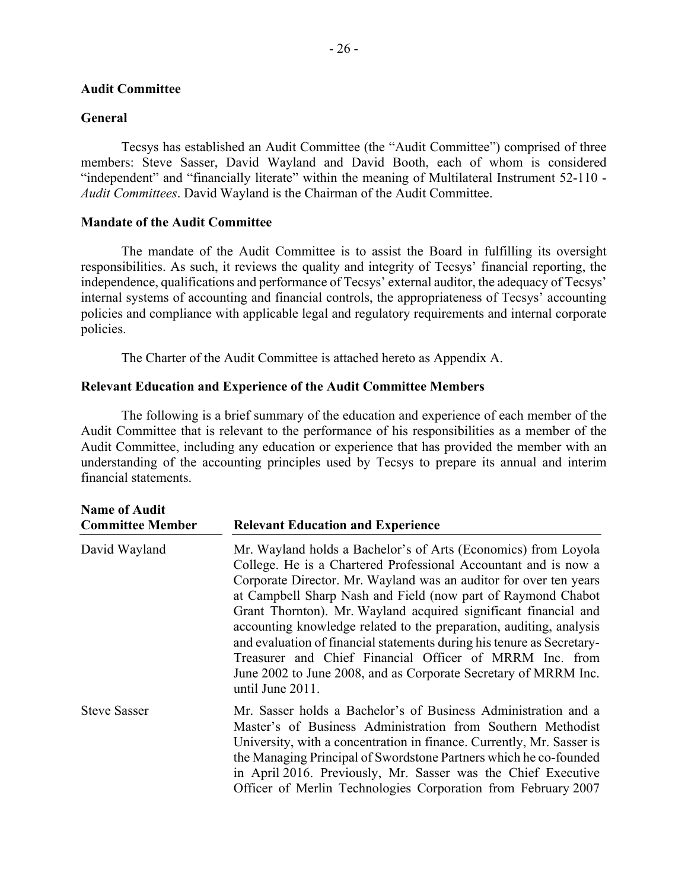### **Audit Committee**

### **General**

Tecsys has established an Audit Committee (the "Audit Committee") comprised of three members: Steve Sasser, David Wayland and David Booth, each of whom is considered "independent" and "financially literate" within the meaning of Multilateral Instrument 52-110 - *Audit Committees*. David Wayland is the Chairman of the Audit Committee.

## **Mandate of the Audit Committee**

The mandate of the Audit Committee is to assist the Board in fulfilling its oversight responsibilities. As such, it reviews the quality and integrity of Tecsys' financial reporting, the independence, qualifications and performance of Tecsys' external auditor, the adequacy of Tecsys' internal systems of accounting and financial controls, the appropriateness of Tecsys' accounting policies and compliance with applicable legal and regulatory requirements and internal corporate policies.

The Charter of the Audit Committee is attached hereto as Appendix A.

## **Relevant Education and Experience of the Audit Committee Members**

The following is a brief summary of the education and experience of each member of the Audit Committee that is relevant to the performance of his responsibilities as a member of the Audit Committee, including any education or experience that has provided the member with an understanding of the accounting principles used by Tecsys to prepare its annual and interim financial statements.

| <b>Name of Audit</b><br><b>Committee Member</b> | <b>Relevant Education and Experience</b>                                                                                                                                                                                                                                                                                                                                                                                                                                                                                                                                                                                                     |
|-------------------------------------------------|----------------------------------------------------------------------------------------------------------------------------------------------------------------------------------------------------------------------------------------------------------------------------------------------------------------------------------------------------------------------------------------------------------------------------------------------------------------------------------------------------------------------------------------------------------------------------------------------------------------------------------------------|
| David Wayland                                   | Mr. Wayland holds a Bachelor's of Arts (Economics) from Loyola<br>College. He is a Chartered Professional Accountant and is now a<br>Corporate Director. Mr. Wayland was an auditor for over ten years<br>at Campbell Sharp Nash and Field (now part of Raymond Chabot<br>Grant Thornton). Mr. Wayland acquired significant financial and<br>accounting knowledge related to the preparation, auditing, analysis<br>and evaluation of financial statements during his tenure as Secretary-<br>Treasurer and Chief Financial Officer of MRRM Inc. from<br>June 2002 to June 2008, and as Corporate Secretary of MRRM Inc.<br>until June 2011. |
| <b>Steve Sasser</b>                             | Mr. Sasser holds a Bachelor's of Business Administration and a<br>Master's of Business Administration from Southern Methodist<br>University, with a concentration in finance. Currently, Mr. Sasser is<br>the Managing Principal of Swordstone Partners which he co-founded<br>in April 2016. Previously, Mr. Sasser was the Chief Executive<br>Officer of Merlin Technologies Corporation from February 2007                                                                                                                                                                                                                                |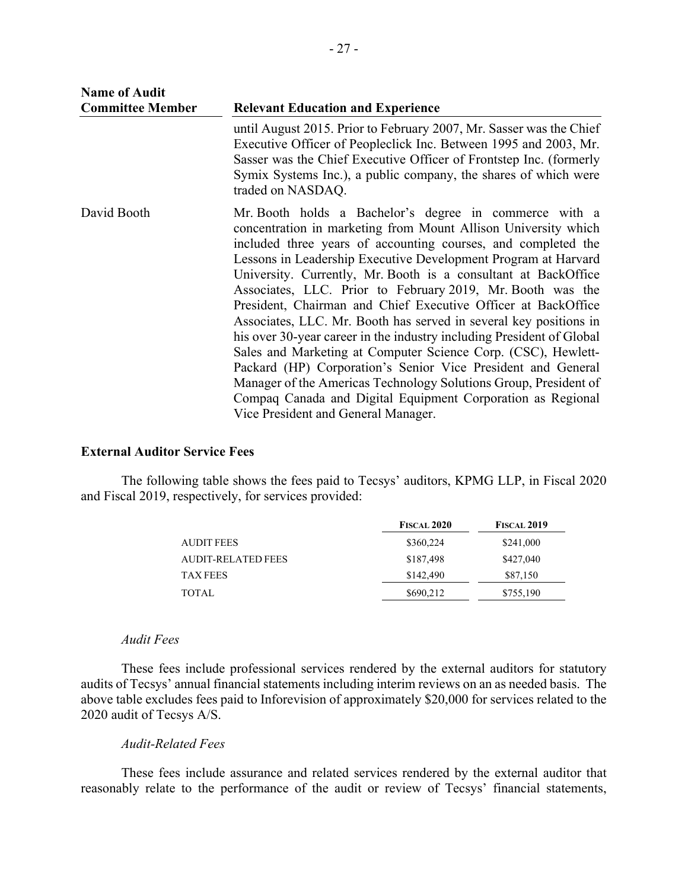| <b>Name of Audit</b>    |                                                                                                                                                                                                                                                                                                                                                                                                                                                                                                                                                                                                                                                                                                                                                                                                                                                                                                                       |
|-------------------------|-----------------------------------------------------------------------------------------------------------------------------------------------------------------------------------------------------------------------------------------------------------------------------------------------------------------------------------------------------------------------------------------------------------------------------------------------------------------------------------------------------------------------------------------------------------------------------------------------------------------------------------------------------------------------------------------------------------------------------------------------------------------------------------------------------------------------------------------------------------------------------------------------------------------------|
| <b>Committee Member</b> | <b>Relevant Education and Experience</b>                                                                                                                                                                                                                                                                                                                                                                                                                                                                                                                                                                                                                                                                                                                                                                                                                                                                              |
|                         | until August 2015. Prior to February 2007, Mr. Sasser was the Chief<br>Executive Officer of Peopleclick Inc. Between 1995 and 2003, Mr.<br>Sasser was the Chief Executive Officer of Frontstep Inc. (formerly<br>Symix Systems Inc.), a public company, the shares of which were<br>traded on NASDAQ.                                                                                                                                                                                                                                                                                                                                                                                                                                                                                                                                                                                                                 |
| David Booth             | Mr. Booth holds a Bachelor's degree in commerce with a<br>concentration in marketing from Mount Allison University which<br>included three years of accounting courses, and completed the<br>Lessons in Leadership Executive Development Program at Harvard<br>University. Currently, Mr. Booth is a consultant at BackOffice<br>Associates, LLC. Prior to February 2019, Mr. Booth was the<br>President, Chairman and Chief Executive Officer at BackOffice<br>Associates, LLC. Mr. Booth has served in several key positions in<br>his over 30-year career in the industry including President of Global<br>Sales and Marketing at Computer Science Corp. (CSC), Hewlett-<br>Packard (HP) Corporation's Senior Vice President and General<br>Manager of the Americas Technology Solutions Group, President of<br>Compaq Canada and Digital Equipment Corporation as Regional<br>Vice President and General Manager. |

## **External Auditor Service Fees**

The following table shows the fees paid to Tecsys' auditors, KPMG LLP, in Fiscal 2020 and Fiscal 2019, respectively, for services provided:

|                    | <b>FISCAL 2020</b> | <b>FISCAL 2019</b> |
|--------------------|--------------------|--------------------|
| <b>AUDIT FEES</b>  | \$360,224          | \$241,000          |
| AUDIT-RELATED FEES | \$187,498          | \$427,040          |
| <b>TAX FEES</b>    | \$142,490          | \$87,150           |
| <b>TOTAL</b>       | \$690,212          | \$755,190          |

### *Audit Fees*

These fees include professional services rendered by the external auditors for statutory audits of Tecsys' annual financial statements including interim reviews on an as needed basis. The above table excludes fees paid to Inforevision of approximately \$20,000 for services related to the 2020 audit of Tecsys A/S.

### *Audit-Related Fees*

These fees include assurance and related services rendered by the external auditor that reasonably relate to the performance of the audit or review of Tecsys' financial statements,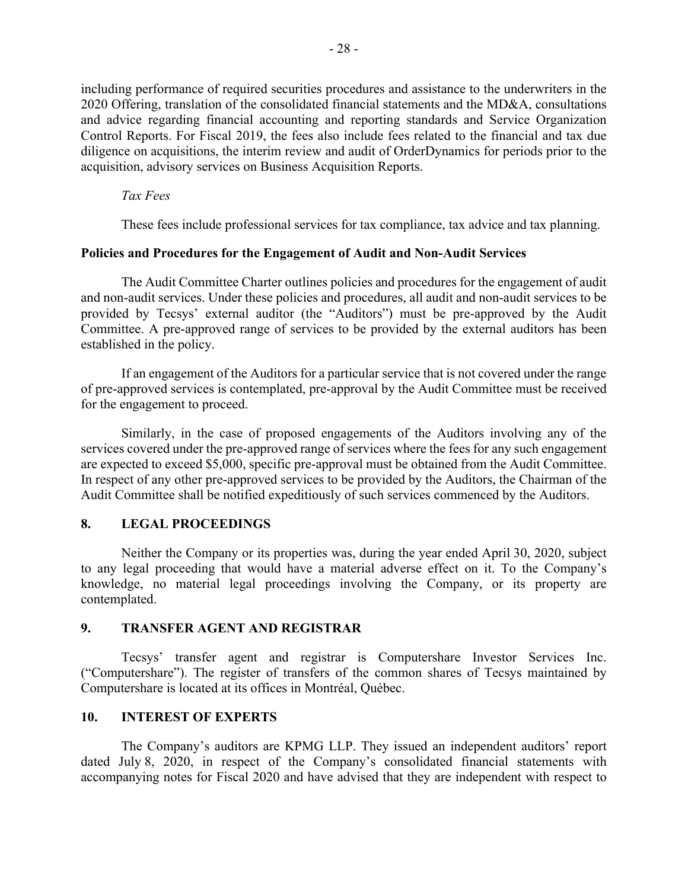including performance of required securities procedures and assistance to the underwriters in the 2020 Offering, translation of the consolidated financial statements and the MD&A, consultations and advice regarding financial accounting and reporting standards and Service Organization Control Reports. For Fiscal 2019, the fees also include fees related to the financial and tax due diligence on acquisitions, the interim review and audit of OrderDynamics for periods prior to the acquisition, advisory services on Business Acquisition Reports.

## *Tax Fees*

These fees include professional services for tax compliance, tax advice and tax planning.

### **Policies and Procedures for the Engagement of Audit and Non-Audit Services**

The Audit Committee Charter outlines policies and procedures for the engagement of audit and non-audit services. Under these policies and procedures, all audit and non-audit services to be provided by Tecsys' external auditor (the "Auditors") must be pre-approved by the Audit Committee. A pre-approved range of services to be provided by the external auditors has been established in the policy.

If an engagement of the Auditors for a particular service that is not covered under the range of pre-approved services is contemplated, pre-approval by the Audit Committee must be received for the engagement to proceed.

Similarly, in the case of proposed engagements of the Auditors involving any of the services covered under the pre-approved range of services where the fees for any such engagement are expected to exceed \$5,000, specific pre-approval must be obtained from the Audit Committee. In respect of any other pre-approved services to be provided by the Auditors, the Chairman of the Audit Committee shall be notified expeditiously of such services commenced by the Auditors.

## **8. LEGAL PROCEEDINGS**

Neither the Company or its properties was, during the year ended April 30, 2020, subject to any legal proceeding that would have a material adverse effect on it. To the Company's knowledge, no material legal proceedings involving the Company, or its property are contemplated.

### **9. TRANSFER AGENT AND REGISTRAR**

Tecsys' transfer agent and registrar is Computershare Investor Services Inc. ("Computershare"). The register of transfers of the common shares of Tecsys maintained by Computershare is located at its offices in Montréal, Québec.

## **10. INTEREST OF EXPERTS**

The Company's auditors are KPMG LLP. They issued an independent auditors' report dated July 8, 2020, in respect of the Company's consolidated financial statements with accompanying notes for Fiscal 2020 and have advised that they are independent with respect to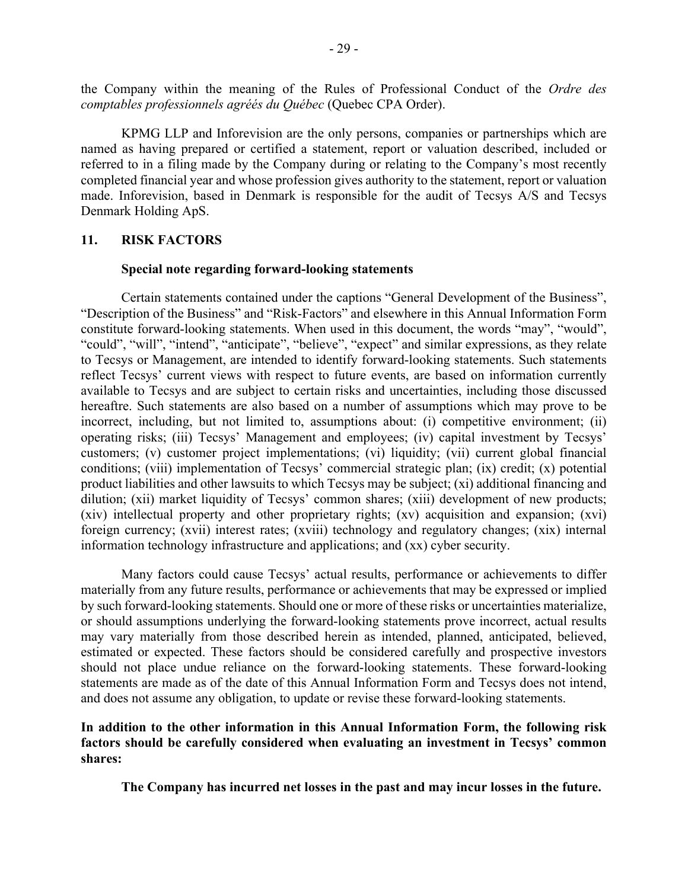the Company within the meaning of the Rules of Professional Conduct of the *Ordre des comptables professionnels agréés du Québec* (Quebec CPA Order).

KPMG LLP and Inforevision are the only persons, companies or partnerships which are named as having prepared or certified a statement, report or valuation described, included or referred to in a filing made by the Company during or relating to the Company's most recently completed financial year and whose profession gives authority to the statement, report or valuation made. Inforevision, based in Denmark is responsible for the audit of Tecsys A/S and Tecsys Denmark Holding ApS.

### **11. RISK FACTORS**

### **Special note regarding forward-looking statements**

Certain statements contained under the captions "General Development of the Business", "Description of the Business" and "Risk-Factors" and elsewhere in this Annual Information Form constitute forward-looking statements. When used in this document, the words "may", "would", "could", "will", "intend", "anticipate", "believe", "expect" and similar expressions, as they relate to Tecsys or Management, are intended to identify forward-looking statements. Such statements reflect Tecsys' current views with respect to future events, are based on information currently available to Tecsys and are subject to certain risks and uncertainties, including those discussed hereaftre. Such statements are also based on a number of assumptions which may prove to be incorrect, including, but not limited to, assumptions about: (i) competitive environment; (ii) operating risks; (iii) Tecsys' Management and employees; (iv) capital investment by Tecsys' customers; (v) customer project implementations; (vi) liquidity; (vii) current global financial conditions; (viii) implementation of Tecsys' commercial strategic plan; (ix) credit; (x) potential product liabilities and other lawsuits to which Tecsys may be subject; (xi) additional financing and dilution; (xii) market liquidity of Tecsys' common shares; (xiii) development of new products; (xiv) intellectual property and other proprietary rights; (xv) acquisition and expansion; (xvi) foreign currency; (xvii) interest rates; (xviii) technology and regulatory changes; (xix) internal information technology infrastructure and applications; and (xx) cyber security.

Many factors could cause Tecsys' actual results, performance or achievements to differ materially from any future results, performance or achievements that may be expressed or implied by such forward-looking statements. Should one or more of these risks or uncertainties materialize, or should assumptions underlying the forward-looking statements prove incorrect, actual results may vary materially from those described herein as intended, planned, anticipated, believed, estimated or expected. These factors should be considered carefully and prospective investors should not place undue reliance on the forward-looking statements. These forward-looking statements are made as of the date of this Annual Information Form and Tecsys does not intend, and does not assume any obligation, to update or revise these forward-looking statements.

## **In addition to the other information in this Annual Information Form, the following risk factors should be carefully considered when evaluating an investment in Tecsys' common shares:**

**The Company has incurred net losses in the past and may incur losses in the future.**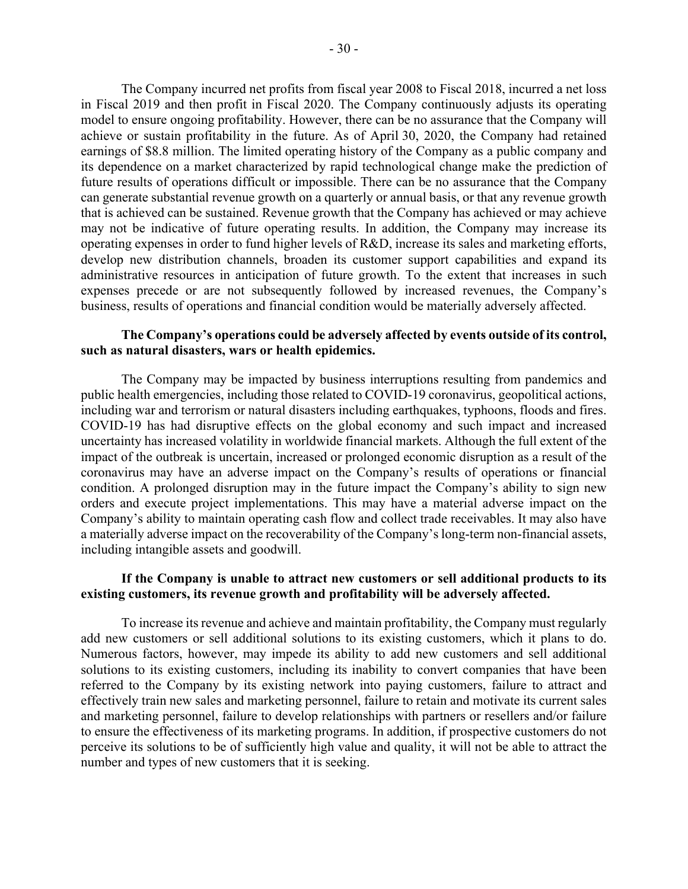The Company incurred net profits from fiscal year 2008 to Fiscal 2018, incurred a net loss in Fiscal 2019 and then profit in Fiscal 2020. The Company continuously adjusts its operating model to ensure ongoing profitability. However, there can be no assurance that the Company will achieve or sustain profitability in the future. As of April 30, 2020, the Company had retained earnings of \$8.8 million. The limited operating history of the Company as a public company and its dependence on a market characterized by rapid technological change make the prediction of future results of operations difficult or impossible. There can be no assurance that the Company can generate substantial revenue growth on a quarterly or annual basis, or that any revenue growth that is achieved can be sustained. Revenue growth that the Company has achieved or may achieve may not be indicative of future operating results. In addition, the Company may increase its operating expenses in order to fund higher levels of R&D, increase its sales and marketing efforts, develop new distribution channels, broaden its customer support capabilities and expand its administrative resources in anticipation of future growth. To the extent that increases in such expenses precede or are not subsequently followed by increased revenues, the Company's business, results of operations and financial condition would be materially adversely affected.

## **The Company's operations could be adversely affected by events outside of its control, such as natural disasters, wars or health epidemics.**

The Company may be impacted by business interruptions resulting from pandemics and public health emergencies, including those related to COVID-19 coronavirus, geopolitical actions, including war and terrorism or natural disasters including earthquakes, typhoons, floods and fires. COVID-19 has had disruptive effects on the global economy and such impact and increased uncertainty has increased volatility in worldwide financial markets. Although the full extent of the impact of the outbreak is uncertain, increased or prolonged economic disruption as a result of the coronavirus may have an adverse impact on the Company's results of operations or financial condition. A prolonged disruption may in the future impact the Company's ability to sign new orders and execute project implementations. This may have a material adverse impact on the Company's ability to maintain operating cash flow and collect trade receivables. It may also have a materially adverse impact on the recoverability of the Company's long-term non-financial assets, including intangible assets and goodwill.

# **If the Company is unable to attract new customers or sell additional products to its existing customers, its revenue growth and profitability will be adversely affected.**

To increase its revenue and achieve and maintain profitability, the Company must regularly add new customers or sell additional solutions to its existing customers, which it plans to do. Numerous factors, however, may impede its ability to add new customers and sell additional solutions to its existing customers, including its inability to convert companies that have been referred to the Company by its existing network into paying customers, failure to attract and effectively train new sales and marketing personnel, failure to retain and motivate its current sales and marketing personnel, failure to develop relationships with partners or resellers and/or failure to ensure the effectiveness of its marketing programs. In addition, if prospective customers do not perceive its solutions to be of sufficiently high value and quality, it will not be able to attract the number and types of new customers that it is seeking.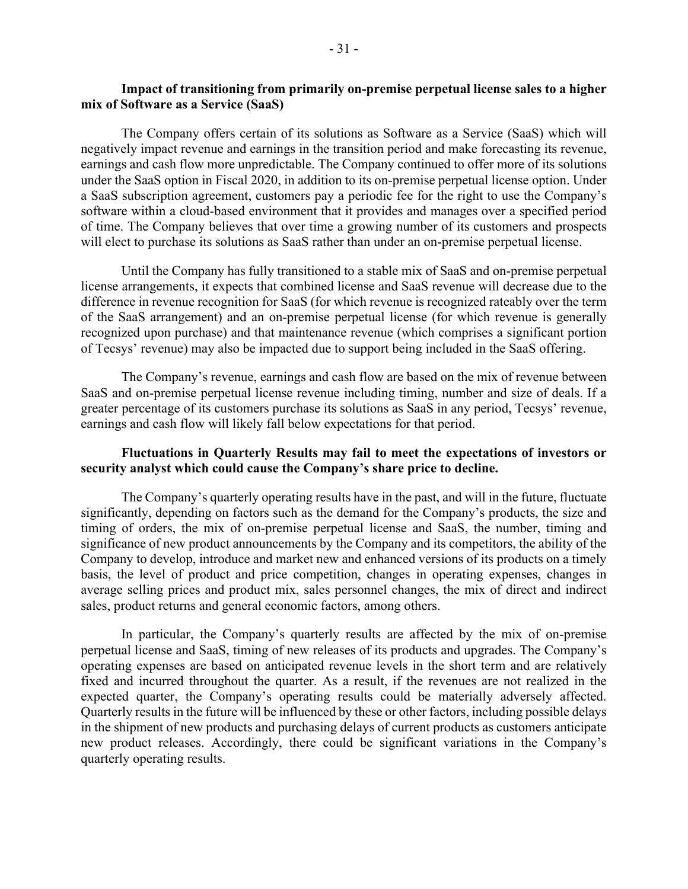## **Impact of transitioning from primarily on-premise perpetual license sales to a higher mix of Software as a Service (SaaS)**

The Company offers certain of its solutions as Software as a Service (SaaS) which will negatively impact revenue and earnings in the transition period and make forecasting its revenue, earnings and cash flow more unpredictable. The Company continued to offer more of its solutions under the SaaS option in Fiscal 2020, in addition to its on-premise perpetual license option. Under a SaaS subscription agreement, customers pay a periodic fee for the right to use the Company's software within a cloud-based environment that it provides and manages over a specified period of time. The Company believes that over time a growing number of its customers and prospects will elect to purchase its solutions as SaaS rather than under an on-premise perpetual license.

Until the Company has fully transitioned to a stable mix of SaaS and on-premise perpetual license arrangements, it expects that combined license and SaaS revenue will decrease due to the difference in revenue recognition for SaaS (for which revenue is recognized rateably over the term of the SaaS arrangement) and an on-premise perpetual license (for which revenue is generally recognized upon purchase) and that maintenance revenue (which comprises a significant portion of Tecsys' revenue) may also be impacted due to support being included in the SaaS offering.

The Company's revenue, earnings and cash flow are based on the mix of revenue between SaaS and on-premise perpetual license revenue including timing, number and size of deals. If a greater percentage of its customers purchase its solutions as SaaS in any period, Tecsys' revenue, earnings and cash flow will likely fall below expectations for that period.

## **Fluctuations in Quarterly Results may fail to meet the expectations of investors or security analyst which could cause the Company's share price to decline.**

The Company's quarterly operating results have in the past, and will in the future, fluctuate significantly, depending on factors such as the demand for the Company's products, the size and timing of orders, the mix of on-premise perpetual license and SaaS, the number, timing and significance of new product announcements by the Company and its competitors, the ability of the Company to develop, introduce and market new and enhanced versions of its products on a timely basis, the level of product and price competition, changes in operating expenses, changes in average selling prices and product mix, sales personnel changes, the mix of direct and indirect sales, product returns and general economic factors, among others.

In particular, the Company's quarterly results are affected by the mix of on-premise perpetual license and SaaS, timing of new releases of its products and upgrades. The Company's operating expenses are based on anticipated revenue levels in the short term and are relatively fixed and incurred throughout the quarter. As a result, if the revenues are not realized in the expected quarter, the Company's operating results could be materially adversely affected. Quarterly results in the future will be influenced by these or other factors, including possible delays in the shipment of new products and purchasing delays of current products as customers anticipate new product releases. Accordingly, there could be significant variations in the Company's quarterly operating results.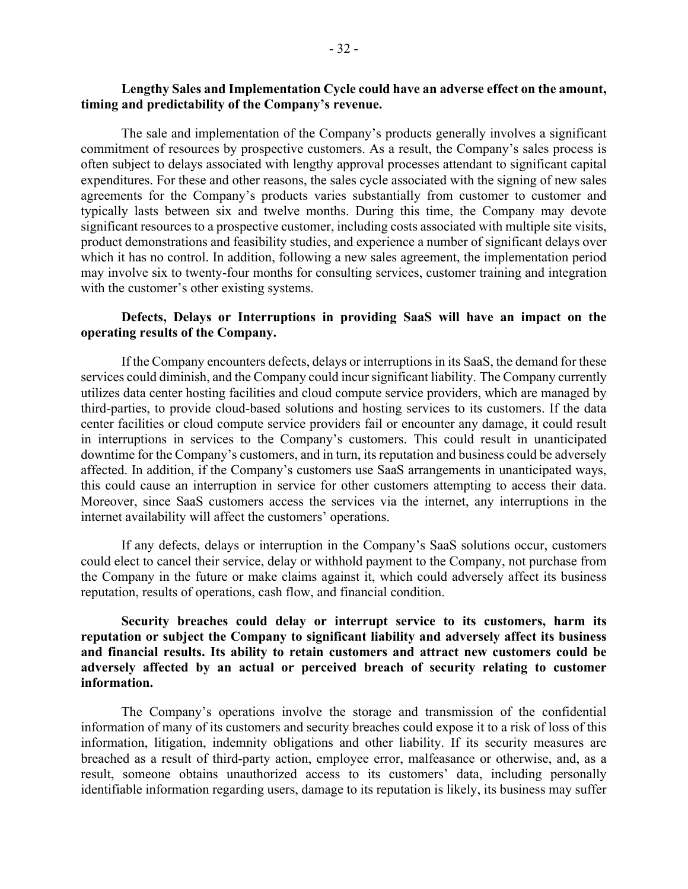# **Lengthy Sales and Implementation Cycle could have an adverse effect on the amount, timing and predictability of the Company's revenue.**

The sale and implementation of the Company's products generally involves a significant commitment of resources by prospective customers. As a result, the Company's sales process is often subject to delays associated with lengthy approval processes attendant to significant capital expenditures. For these and other reasons, the sales cycle associated with the signing of new sales agreements for the Company's products varies substantially from customer to customer and typically lasts between six and twelve months. During this time, the Company may devote significant resources to a prospective customer, including costs associated with multiple site visits, product demonstrations and feasibility studies, and experience a number of significant delays over which it has no control. In addition, following a new sales agreement, the implementation period may involve six to twenty-four months for consulting services, customer training and integration with the customer's other existing systems.

## **Defects, Delays or Interruptions in providing SaaS will have an impact on the operating results of the Company.**

If the Company encounters defects, delays or interruptions in its SaaS, the demand for these services could diminish, and the Company could incur significant liability. The Company currently utilizes data center hosting facilities and cloud compute service providers, which are managed by third-parties, to provide cloud-based solutions and hosting services to its customers. If the data center facilities or cloud compute service providers fail or encounter any damage, it could result in interruptions in services to the Company's customers. This could result in unanticipated downtime for the Company's customers, and in turn, its reputation and business could be adversely affected. In addition, if the Company's customers use SaaS arrangements in unanticipated ways, this could cause an interruption in service for other customers attempting to access their data. Moreover, since SaaS customers access the services via the internet, any interruptions in the internet availability will affect the customers' operations.

If any defects, delays or interruption in the Company's SaaS solutions occur, customers could elect to cancel their service, delay or withhold payment to the Company, not purchase from the Company in the future or make claims against it, which could adversely affect its business reputation, results of operations, cash flow, and financial condition.

## **Security breaches could delay or interrupt service to its customers, harm its reputation or subject the Company to significant liability and adversely affect its business and financial results. Its ability to retain customers and attract new customers could be adversely affected by an actual or perceived breach of security relating to customer information.**

The Company's operations involve the storage and transmission of the confidential information of many of its customers and security breaches could expose it to a risk of loss of this information, litigation, indemnity obligations and other liability. If its security measures are breached as a result of third-party action, employee error, malfeasance or otherwise, and, as a result, someone obtains unauthorized access to its customers' data, including personally identifiable information regarding users, damage to its reputation is likely, its business may suffer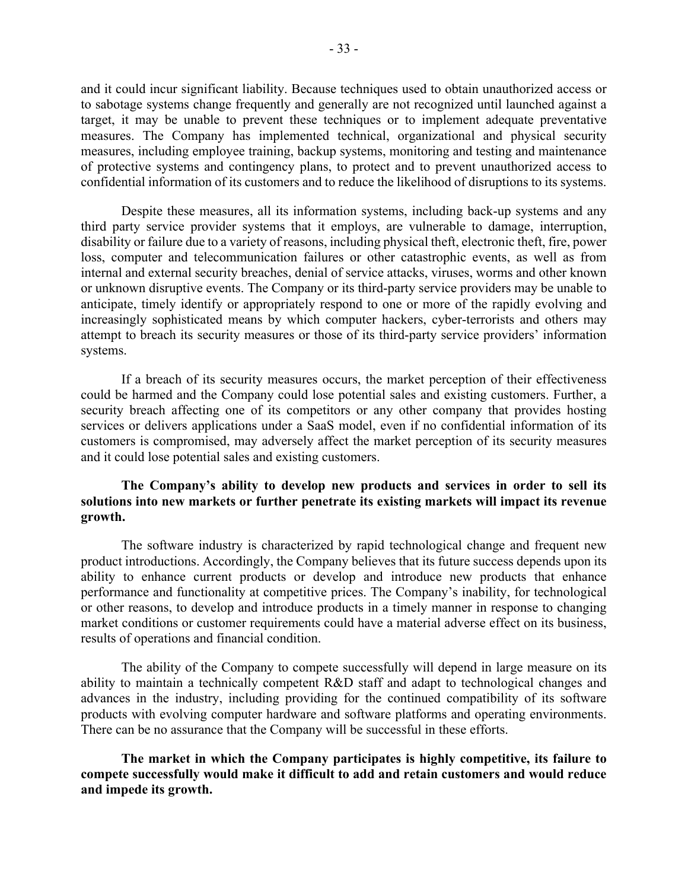and it could incur significant liability. Because techniques used to obtain unauthorized access or to sabotage systems change frequently and generally are not recognized until launched against a target, it may be unable to prevent these techniques or to implement adequate preventative measures. The Company has implemented technical, organizational and physical security measures, including employee training, backup systems, monitoring and testing and maintenance of protective systems and contingency plans, to protect and to prevent unauthorized access to confidential information of its customers and to reduce the likelihood of disruptions to its systems.

Despite these measures, all its information systems, including back-up systems and any third party service provider systems that it employs, are vulnerable to damage, interruption, disability or failure due to a variety of reasons, including physical theft, electronic theft, fire, power loss, computer and telecommunication failures or other catastrophic events, as well as from internal and external security breaches, denial of service attacks, viruses, worms and other known or unknown disruptive events. The Company or its third-party service providers may be unable to anticipate, timely identify or appropriately respond to one or more of the rapidly evolving and increasingly sophisticated means by which computer hackers, cyber-terrorists and others may attempt to breach its security measures or those of its third-party service providers' information systems.

If a breach of its security measures occurs, the market perception of their effectiveness could be harmed and the Company could lose potential sales and existing customers. Further, a security breach affecting one of its competitors or any other company that provides hosting services or delivers applications under a SaaS model, even if no confidential information of its customers is compromised, may adversely affect the market perception of its security measures and it could lose potential sales and existing customers.

## **The Company's ability to develop new products and services in order to sell its solutions into new markets or further penetrate its existing markets will impact its revenue growth.**

The software industry is characterized by rapid technological change and frequent new product introductions. Accordingly, the Company believes that its future success depends upon its ability to enhance current products or develop and introduce new products that enhance performance and functionality at competitive prices. The Company's inability, for technological or other reasons, to develop and introduce products in a timely manner in response to changing market conditions or customer requirements could have a material adverse effect on its business, results of operations and financial condition.

The ability of the Company to compete successfully will depend in large measure on its ability to maintain a technically competent R&D staff and adapt to technological changes and advances in the industry, including providing for the continued compatibility of its software products with evolving computer hardware and software platforms and operating environments. There can be no assurance that the Company will be successful in these efforts.

**The market in which the Company participates is highly competitive, its failure to compete successfully would make it difficult to add and retain customers and would reduce and impede its growth.**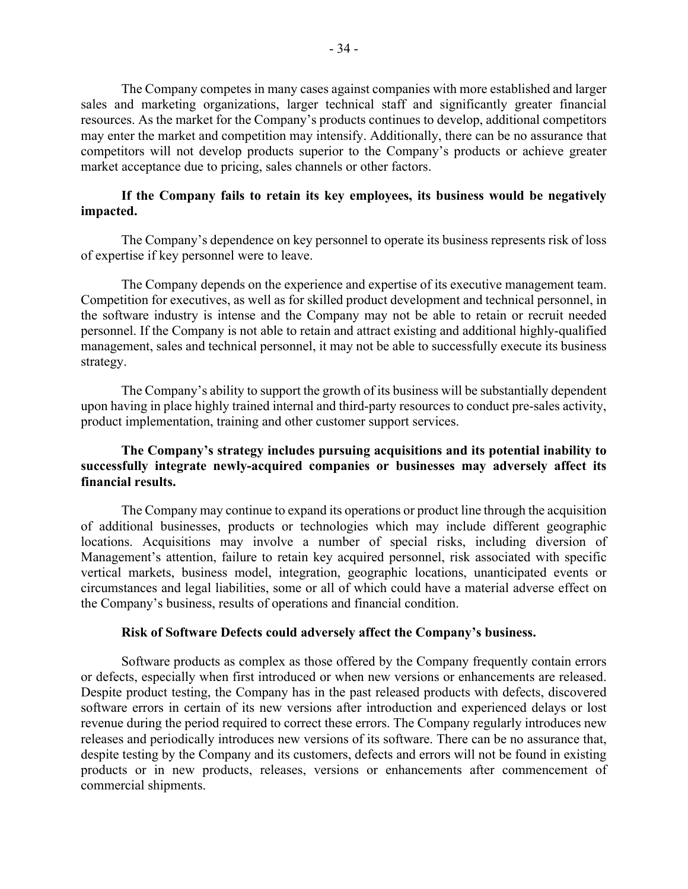The Company competes in many cases against companies with more established and larger sales and marketing organizations, larger technical staff and significantly greater financial resources. As the market for the Company's products continues to develop, additional competitors may enter the market and competition may intensify. Additionally, there can be no assurance that competitors will not develop products superior to the Company's products or achieve greater market acceptance due to pricing, sales channels or other factors.

## **If the Company fails to retain its key employees, its business would be negatively impacted.**

The Company's dependence on key personnel to operate its business represents risk of loss of expertise if key personnel were to leave.

The Company depends on the experience and expertise of its executive management team. Competition for executives, as well as for skilled product development and technical personnel, in the software industry is intense and the Company may not be able to retain or recruit needed personnel. If the Company is not able to retain and attract existing and additional highly-qualified management, sales and technical personnel, it may not be able to successfully execute its business strategy.

The Company's ability to support the growth of its business will be substantially dependent upon having in place highly trained internal and third-party resources to conduct pre-sales activity, product implementation, training and other customer support services.

## **The Company's strategy includes pursuing acquisitions and its potential inability to successfully integrate newly-acquired companies or businesses may adversely affect its financial results.**

The Company may continue to expand its operations or product line through the acquisition of additional businesses, products or technologies which may include different geographic locations. Acquisitions may involve a number of special risks, including diversion of Management's attention, failure to retain key acquired personnel, risk associated with specific vertical markets, business model, integration, geographic locations, unanticipated events or circumstances and legal liabilities, some or all of which could have a material adverse effect on the Company's business, results of operations and financial condition.

### **Risk of Software Defects could adversely affect the Company's business.**

Software products as complex as those offered by the Company frequently contain errors or defects, especially when first introduced or when new versions or enhancements are released. Despite product testing, the Company has in the past released products with defects, discovered software errors in certain of its new versions after introduction and experienced delays or lost revenue during the period required to correct these errors. The Company regularly introduces new releases and periodically introduces new versions of its software. There can be no assurance that, despite testing by the Company and its customers, defects and errors will not be found in existing products or in new products, releases, versions or enhancements after commencement of commercial shipments.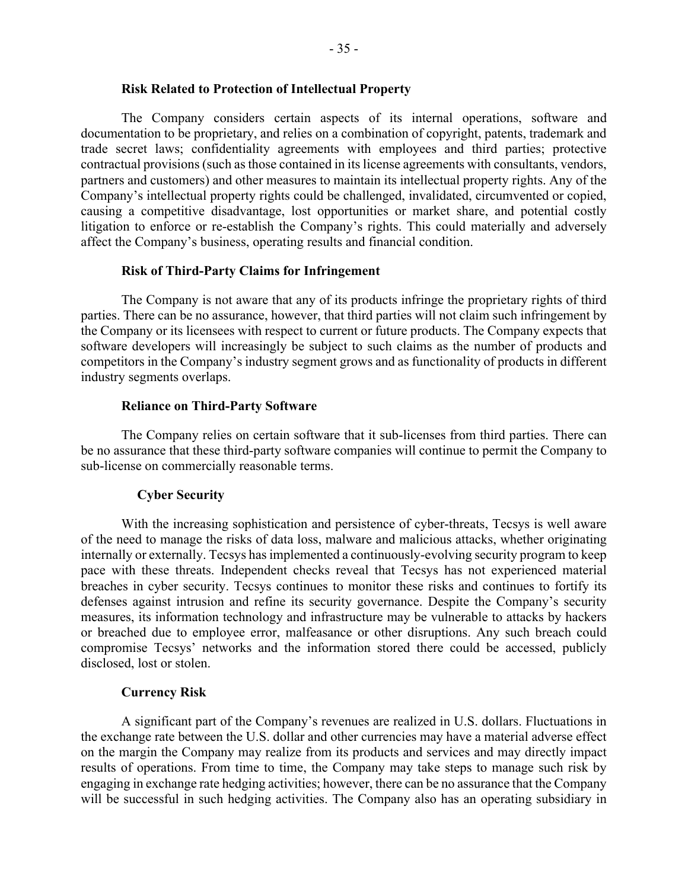### **Risk Related to Protection of Intellectual Property**

The Company considers certain aspects of its internal operations, software and documentation to be proprietary, and relies on a combination of copyright, patents, trademark and trade secret laws; confidentiality agreements with employees and third parties; protective contractual provisions (such as those contained in its license agreements with consultants, vendors, partners and customers) and other measures to maintain its intellectual property rights. Any of the Company's intellectual property rights could be challenged, invalidated, circumvented or copied, causing a competitive disadvantage, lost opportunities or market share, and potential costly litigation to enforce or re-establish the Company's rights. This could materially and adversely affect the Company's business, operating results and financial condition.

### **Risk of Third-Party Claims for Infringement**

The Company is not aware that any of its products infringe the proprietary rights of third parties. There can be no assurance, however, that third parties will not claim such infringement by the Company or its licensees with respect to current or future products. The Company expects that software developers will increasingly be subject to such claims as the number of products and competitors in the Company's industry segment grows and as functionality of products in different industry segments overlaps.

### **Reliance on Third-Party Software**

The Company relies on certain software that it sub-licenses from third parties. There can be no assurance that these third-party software companies will continue to permit the Company to sub-license on commercially reasonable terms.

### **Cyber Security**

With the increasing sophistication and persistence of cyber-threats, Tecsys is well aware of the need to manage the risks of data loss, malware and malicious attacks, whether originating internally or externally. Tecsys has implemented a continuously-evolving security program to keep pace with these threats. Independent checks reveal that Tecsys has not experienced material breaches in cyber security. Tecsys continues to monitor these risks and continues to fortify its defenses against intrusion and refine its security governance. Despite the Company's security measures, its information technology and infrastructure may be vulnerable to attacks by hackers or breached due to employee error, malfeasance or other disruptions. Any such breach could compromise Tecsys' networks and the information stored there could be accessed, publicly disclosed, lost or stolen.

### **Currency Risk**

A significant part of the Company's revenues are realized in U.S. dollars. Fluctuations in the exchange rate between the U.S. dollar and other currencies may have a material adverse effect on the margin the Company may realize from its products and services and may directly impact results of operations. From time to time, the Company may take steps to manage such risk by engaging in exchange rate hedging activities; however, there can be no assurance that the Company will be successful in such hedging activities. The Company also has an operating subsidiary in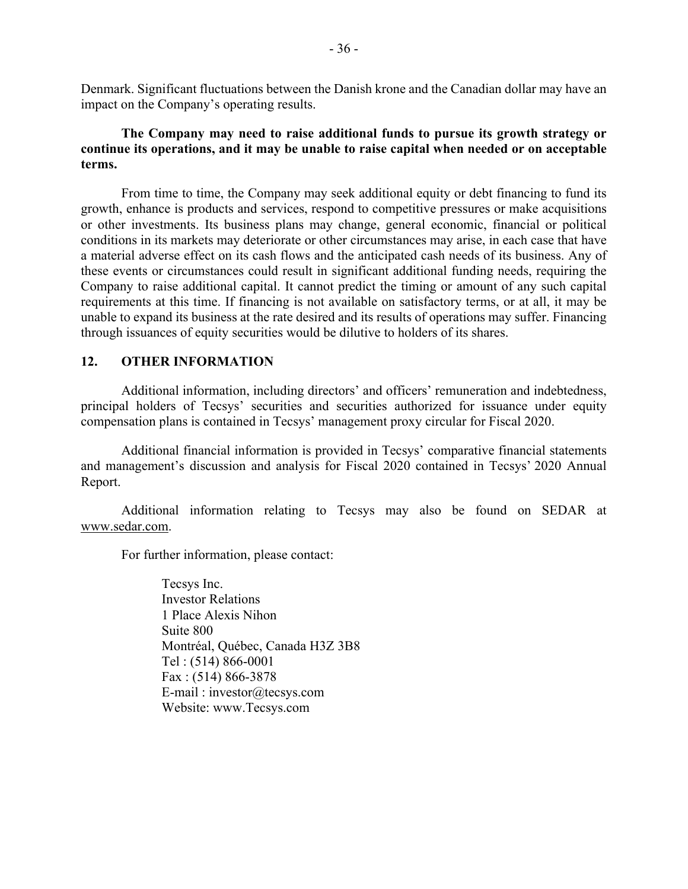Denmark. Significant fluctuations between the Danish krone and the Canadian dollar may have an impact on the Company's operating results.

## **The Company may need to raise additional funds to pursue its growth strategy or continue its operations, and it may be unable to raise capital when needed or on acceptable terms.**

From time to time, the Company may seek additional equity or debt financing to fund its growth, enhance is products and services, respond to competitive pressures or make acquisitions or other investments. Its business plans may change, general economic, financial or political conditions in its markets may deteriorate or other circumstances may arise, in each case that have a material adverse effect on its cash flows and the anticipated cash needs of its business. Any of these events or circumstances could result in significant additional funding needs, requiring the Company to raise additional capital. It cannot predict the timing or amount of any such capital requirements at this time. If financing is not available on satisfactory terms, or at all, it may be unable to expand its business at the rate desired and its results of operations may suffer. Financing through issuances of equity securities would be dilutive to holders of its shares.

## **12. OTHER INFORMATION**

Additional information, including directors' and officers' remuneration and indebtedness, principal holders of Tecsys' securities and securities authorized for issuance under equity compensation plans is contained in Tecsys' management proxy circular for Fiscal 2020.

Additional financial information is provided in Tecsys' comparative financial statements and management's discussion and analysis for Fiscal 2020 contained in Tecsys' 2020 Annual Report.

Additional information relating to Tecsys may also be found on SEDAR at www.sedar.com.

For further information, please contact:

Tecsys Inc. Investor Relations 1 Place Alexis Nihon Suite 800 Montréal, Québec, Canada H3Z 3B8 Tel : (514) 866-0001 Fax : (514) 866-3878 E-mail : investor@tecsys.com Website: www.Tecsys.com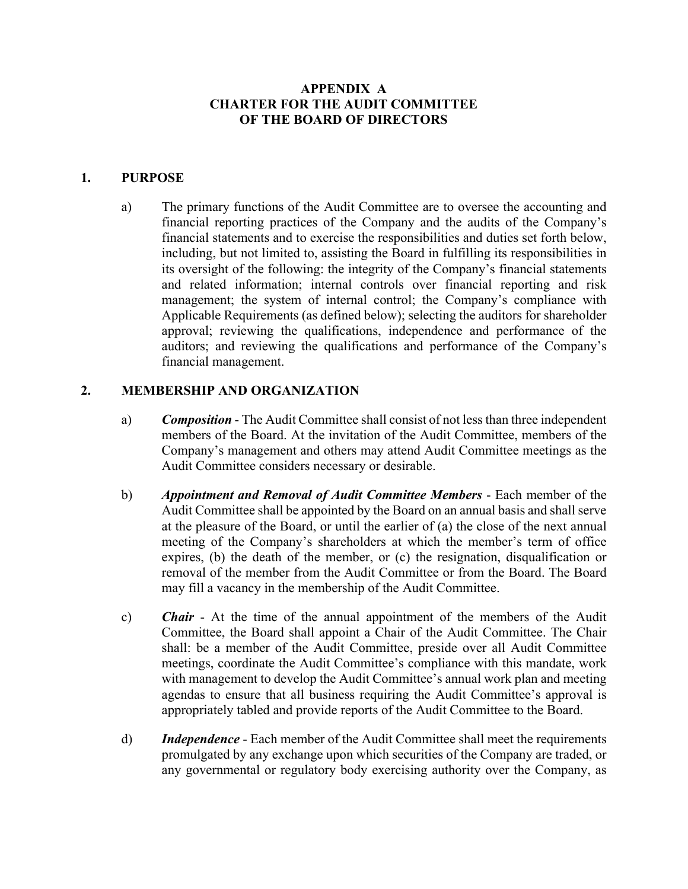# **APPENDIX A CHARTER FOR THE AUDIT COMMITTEE OF THE BOARD OF DIRECTORS**

## **1. PURPOSE**

a) The primary functions of the Audit Committee are to oversee the accounting and financial reporting practices of the Company and the audits of the Company's financial statements and to exercise the responsibilities and duties set forth below, including, but not limited to, assisting the Board in fulfilling its responsibilities in its oversight of the following: the integrity of the Company's financial statements and related information; internal controls over financial reporting and risk management; the system of internal control; the Company's compliance with Applicable Requirements (as defined below); selecting the auditors for shareholder approval; reviewing the qualifications, independence and performance of the auditors; and reviewing the qualifications and performance of the Company's financial management.

# **2. MEMBERSHIP AND ORGANIZATION**

- a) *Composition* The Audit Committee shall consist of not less than three independent members of the Board. At the invitation of the Audit Committee, members of the Company's management and others may attend Audit Committee meetings as the Audit Committee considers necessary or desirable.
- b) *Appointment and Removal of Audit Committee Members* Each member of the Audit Committee shall be appointed by the Board on an annual basis and shall serve at the pleasure of the Board, or until the earlier of (a) the close of the next annual meeting of the Company's shareholders at which the member's term of office expires, (b) the death of the member, or (c) the resignation, disqualification or removal of the member from the Audit Committee or from the Board. The Board may fill a vacancy in the membership of the Audit Committee.
- c) *Chair* At the time of the annual appointment of the members of the Audit Committee, the Board shall appoint a Chair of the Audit Committee. The Chair shall: be a member of the Audit Committee, preside over all Audit Committee meetings, coordinate the Audit Committee's compliance with this mandate, work with management to develop the Audit Committee's annual work plan and meeting agendas to ensure that all business requiring the Audit Committee's approval is appropriately tabled and provide reports of the Audit Committee to the Board.
- d) *Independence* Each member of the Audit Committee shall meet the requirements promulgated by any exchange upon which securities of the Company are traded, or any governmental or regulatory body exercising authority over the Company, as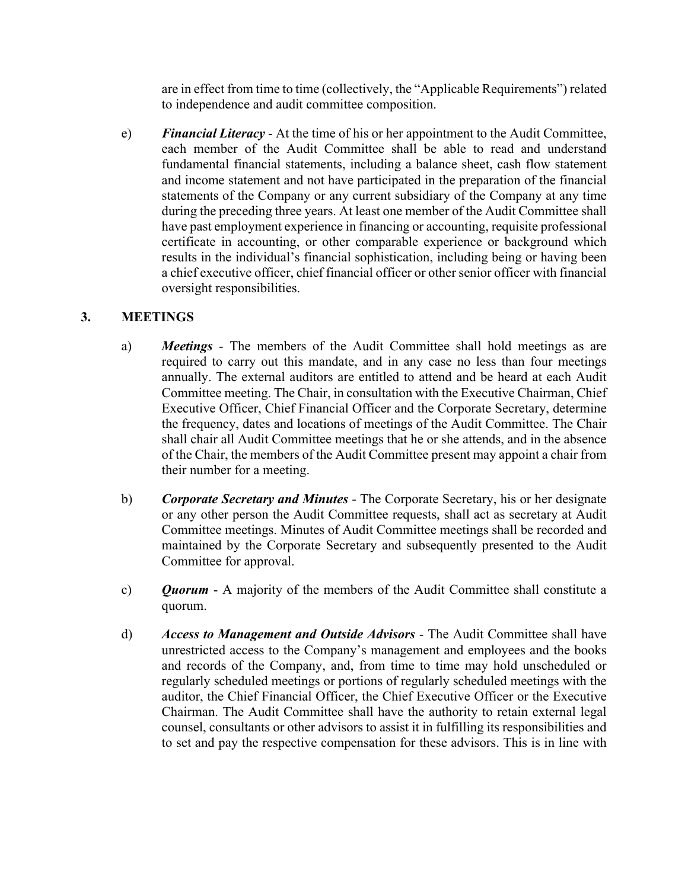are in effect from time to time (collectively, the "Applicable Requirements") related to independence and audit committee composition.

e) *Financial Literacy* - At the time of his or her appointment to the Audit Committee, each member of the Audit Committee shall be able to read and understand fundamental financial statements, including a balance sheet, cash flow statement and income statement and not have participated in the preparation of the financial statements of the Company or any current subsidiary of the Company at any time during the preceding three years. At least one member of the Audit Committee shall have past employment experience in financing or accounting, requisite professional certificate in accounting, or other comparable experience or background which results in the individual's financial sophistication, including being or having been a chief executive officer, chief financial officer or other senior officer with financial oversight responsibilities.

# **3. MEETINGS**

- a) *Meetings* The members of the Audit Committee shall hold meetings as are required to carry out this mandate, and in any case no less than four meetings annually. The external auditors are entitled to attend and be heard at each Audit Committee meeting. The Chair, in consultation with the Executive Chairman, Chief Executive Officer, Chief Financial Officer and the Corporate Secretary, determine the frequency, dates and locations of meetings of the Audit Committee. The Chair shall chair all Audit Committee meetings that he or she attends, and in the absence of the Chair, the members of the Audit Committee present may appoint a chair from their number for a meeting.
- b) *Corporate Secretary and Minutes* The Corporate Secretary, his or her designate or any other person the Audit Committee requests, shall act as secretary at Audit Committee meetings. Minutes of Audit Committee meetings shall be recorded and maintained by the Corporate Secretary and subsequently presented to the Audit Committee for approval.
- c) *Quorum* A majority of the members of the Audit Committee shall constitute a quorum.
- d) *Access to Management and Outside Advisors* The Audit Committee shall have unrestricted access to the Company's management and employees and the books and records of the Company, and, from time to time may hold unscheduled or regularly scheduled meetings or portions of regularly scheduled meetings with the auditor, the Chief Financial Officer, the Chief Executive Officer or the Executive Chairman. The Audit Committee shall have the authority to retain external legal counsel, consultants or other advisors to assist it in fulfilling its responsibilities and to set and pay the respective compensation for these advisors. This is in line with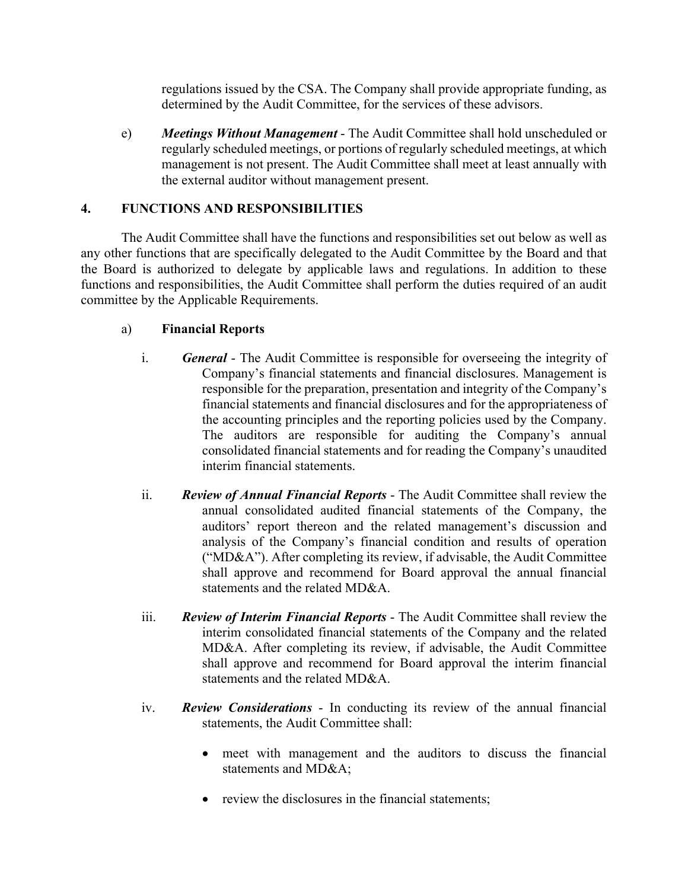regulations issued by the CSA. The Company shall provide appropriate funding, as determined by the Audit Committee, for the services of these advisors.

e) *Meetings Without Management* - The Audit Committee shall hold unscheduled or regularly scheduled meetings, or portions of regularly scheduled meetings, at which management is not present. The Audit Committee shall meet at least annually with the external auditor without management present.

# **4. FUNCTIONS AND RESPONSIBILITIES**

The Audit Committee shall have the functions and responsibilities set out below as well as any other functions that are specifically delegated to the Audit Committee by the Board and that the Board is authorized to delegate by applicable laws and regulations. In addition to these functions and responsibilities, the Audit Committee shall perform the duties required of an audit committee by the Applicable Requirements.

# a) **Financial Reports**

- i. *General* The Audit Committee is responsible for overseeing the integrity of Company's financial statements and financial disclosures. Management is responsible for the preparation, presentation and integrity of the Company's financial statements and financial disclosures and for the appropriateness of the accounting principles and the reporting policies used by the Company. The auditors are responsible for auditing the Company's annual consolidated financial statements and for reading the Company's unaudited interim financial statements.
- ii. *Review of Annual Financial Reports* The Audit Committee shall review the annual consolidated audited financial statements of the Company, the auditors' report thereon and the related management's discussion and analysis of the Company's financial condition and results of operation ("MD&A"). After completing its review, if advisable, the Audit Committee shall approve and recommend for Board approval the annual financial statements and the related MD&A.
- iii. *Review of Interim Financial Reports* The Audit Committee shall review the interim consolidated financial statements of the Company and the related MD&A. After completing its review, if advisable, the Audit Committee shall approve and recommend for Board approval the interim financial statements and the related MD&A.
- iv. *Review Considerations* In conducting its review of the annual financial statements, the Audit Committee shall:
	- meet with management and the auditors to discuss the financial statements and MD&A;
	- review the disclosures in the financial statements: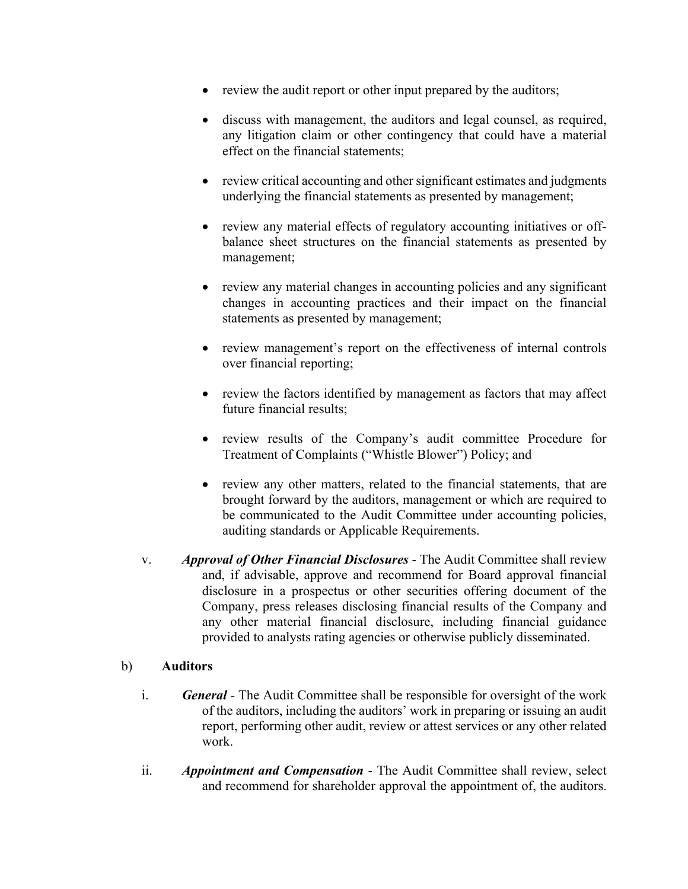- review the audit report or other input prepared by the auditors;
- discuss with management, the auditors and legal counsel, as required, any litigation claim or other contingency that could have a material effect on the financial statements;
- review critical accounting and other significant estimates and judgments underlying the financial statements as presented by management;
- review any material effects of regulatory accounting initiatives or offbalance sheet structures on the financial statements as presented by management;
- review any material changes in accounting policies and any significant changes in accounting practices and their impact on the financial statements as presented by management;
- review management's report on the effectiveness of internal controls over financial reporting;
- review the factors identified by management as factors that may affect future financial results;
- review results of the Company's audit committee Procedure for Treatment of Complaints ("Whistle Blower") Policy; and
- review any other matters, related to the financial statements, that are brought forward by the auditors, management or which are required to be communicated to the Audit Committee under accounting policies, auditing standards or Applicable Requirements.
- v. *Approval of Other Financial Disclosures* The Audit Committee shall review and, if advisable, approve and recommend for Board approval financial disclosure in a prospectus or other securities offering document of the Company, press releases disclosing financial results of the Company and any other material financial disclosure, including financial guidance provided to analysts rating agencies or otherwise publicly disseminated.

## b) **Auditors**

- i. *General*  The Audit Committee shall be responsible for oversight of the work of the auditors, including the auditors' work in preparing or issuing an audit report, performing other audit, review or attest services or any other related work.
- ii. *Appointment and Compensation* The Audit Committee shall review, select and recommend for shareholder approval the appointment of, the auditors.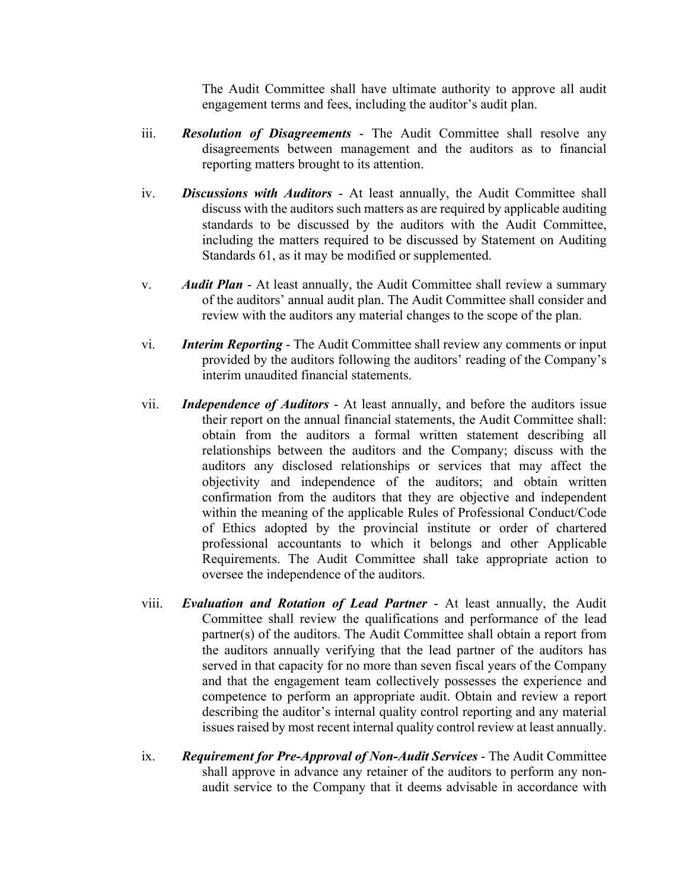The Audit Committee shall have ultimate authority to approve all audit engagement terms and fees, including the auditor's audit plan.

- iii. *Resolution of Disagreements*  The Audit Committee shall resolve any disagreements between management and the auditors as to financial reporting matters brought to its attention.
- iv. *Discussions with Auditors* At least annually, the Audit Committee shall discuss with the auditors such matters as are required by applicable auditing standards to be discussed by the auditors with the Audit Committee, including the matters required to be discussed by Statement on Auditing Standards 61, as it may be modified or supplemented.
- v. *Audit Plan* At least annually, the Audit Committee shall review a summary of the auditors' annual audit plan. The Audit Committee shall consider and review with the auditors any material changes to the scope of the plan.
- vi. *Interim Reporting* The Audit Committee shall review any comments or input provided by the auditors following the auditors' reading of the Company's interim unaudited financial statements.
- vii. *Independence of Auditors* At least annually, and before the auditors issue their report on the annual financial statements, the Audit Committee shall: obtain from the auditors a formal written statement describing all relationships between the auditors and the Company; discuss with the auditors any disclosed relationships or services that may affect the objectivity and independence of the auditors; and obtain written confirmation from the auditors that they are objective and independent within the meaning of the applicable Rules of Professional Conduct/Code of Ethics adopted by the provincial institute or order of chartered professional accountants to which it belongs and other Applicable Requirements. The Audit Committee shall take appropriate action to oversee the independence of the auditors.
- viii. *Evaluation and Rotation of Lead Partner* At least annually, the Audit Committee shall review the qualifications and performance of the lead partner(s) of the auditors. The Audit Committee shall obtain a report from the auditors annually verifying that the lead partner of the auditors has served in that capacity for no more than seven fiscal years of the Company and that the engagement team collectively possesses the experience and competence to perform an appropriate audit. Obtain and review a report describing the auditor's internal quality control reporting and any material issues raised by most recent internal quality control review at least annually.
- ix. *Requirement for Pre-Approval of Non-Audit Services* The Audit Committee shall approve in advance any retainer of the auditors to perform any nonaudit service to the Company that it deems advisable in accordance with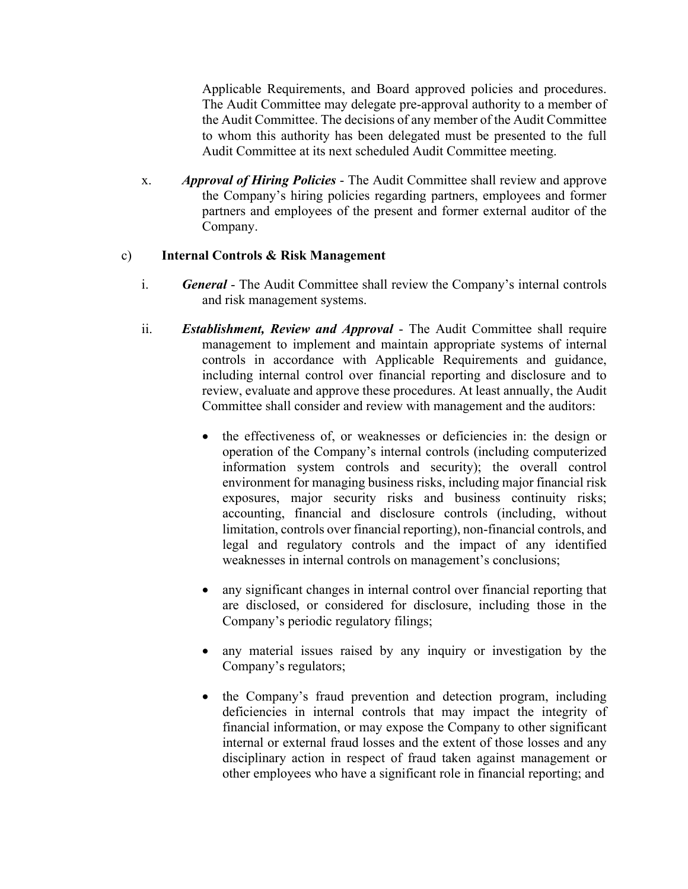Applicable Requirements, and Board approved policies and procedures. The Audit Committee may delegate pre-approval authority to a member of the Audit Committee. The decisions of any member of the Audit Committee to whom this authority has been delegated must be presented to the full Audit Committee at its next scheduled Audit Committee meeting.

x. *Approval of Hiring Policies* - The Audit Committee shall review and approve the Company's hiring policies regarding partners, employees and former partners and employees of the present and former external auditor of the Company.

# c) **Internal Controls & Risk Management**

- i. *General* The Audit Committee shall review the Company's internal controls and risk management systems.
- ii. *Establishment, Review and Approval*  The Audit Committee shall require management to implement and maintain appropriate systems of internal controls in accordance with Applicable Requirements and guidance, including internal control over financial reporting and disclosure and to review, evaluate and approve these procedures. At least annually, the Audit Committee shall consider and review with management and the auditors:
	- the effectiveness of, or weaknesses or deficiencies in: the design or operation of the Company's internal controls (including computerized information system controls and security); the overall control environment for managing business risks, including major financial risk exposures, major security risks and business continuity risks; accounting, financial and disclosure controls (including, without limitation, controls over financial reporting), non-financial controls, and legal and regulatory controls and the impact of any identified weaknesses in internal controls on management's conclusions;
	- any significant changes in internal control over financial reporting that are disclosed, or considered for disclosure, including those in the Company's periodic regulatory filings;
	- any material issues raised by any inquiry or investigation by the Company's regulators;
	- the Company's fraud prevention and detection program, including deficiencies in internal controls that may impact the integrity of financial information, or may expose the Company to other significant internal or external fraud losses and the extent of those losses and any disciplinary action in respect of fraud taken against management or other employees who have a significant role in financial reporting; and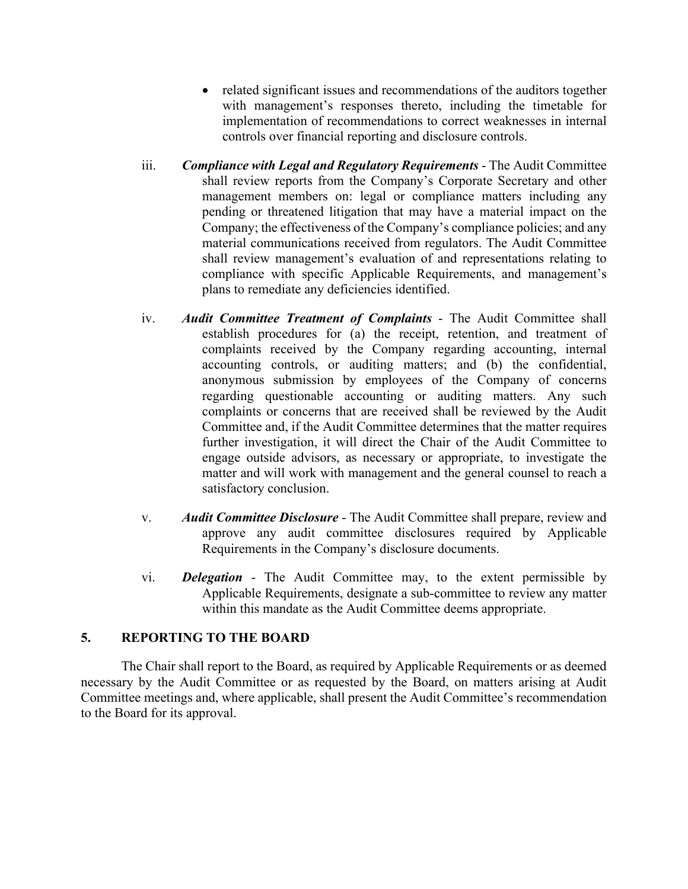- related significant issues and recommendations of the auditors together with management's responses thereto, including the timetable for implementation of recommendations to correct weaknesses in internal controls over financial reporting and disclosure controls.
- iii. *Compliance with Legal and Regulatory Requirements* The Audit Committee shall review reports from the Company's Corporate Secretary and other management members on: legal or compliance matters including any pending or threatened litigation that may have a material impact on the Company; the effectiveness of the Company's compliance policies; and any material communications received from regulators. The Audit Committee shall review management's evaluation of and representations relating to compliance with specific Applicable Requirements, and management's plans to remediate any deficiencies identified.
- iv. *Audit Committee Treatment of Complaints* The Audit Committee shall establish procedures for (a) the receipt, retention, and treatment of complaints received by the Company regarding accounting, internal accounting controls, or auditing matters; and (b) the confidential, anonymous submission by employees of the Company of concerns regarding questionable accounting or auditing matters. Any such complaints or concerns that are received shall be reviewed by the Audit Committee and, if the Audit Committee determines that the matter requires further investigation, it will direct the Chair of the Audit Committee to engage outside advisors, as necessary or appropriate, to investigate the matter and will work with management and the general counsel to reach a satisfactory conclusion.
- v. *Audit Committee Disclosure* The Audit Committee shall prepare, review and approve any audit committee disclosures required by Applicable Requirements in the Company's disclosure documents.
- vi. *Delegation* The Audit Committee may, to the extent permissible by Applicable Requirements, designate a sub-committee to review any matter within this mandate as the Audit Committee deems appropriate.

# **5. REPORTING TO THE BOARD**

The Chair shall report to the Board, as required by Applicable Requirements or as deemed necessary by the Audit Committee or as requested by the Board, on matters arising at Audit Committee meetings and, where applicable, shall present the Audit Committee's recommendation to the Board for its approval.